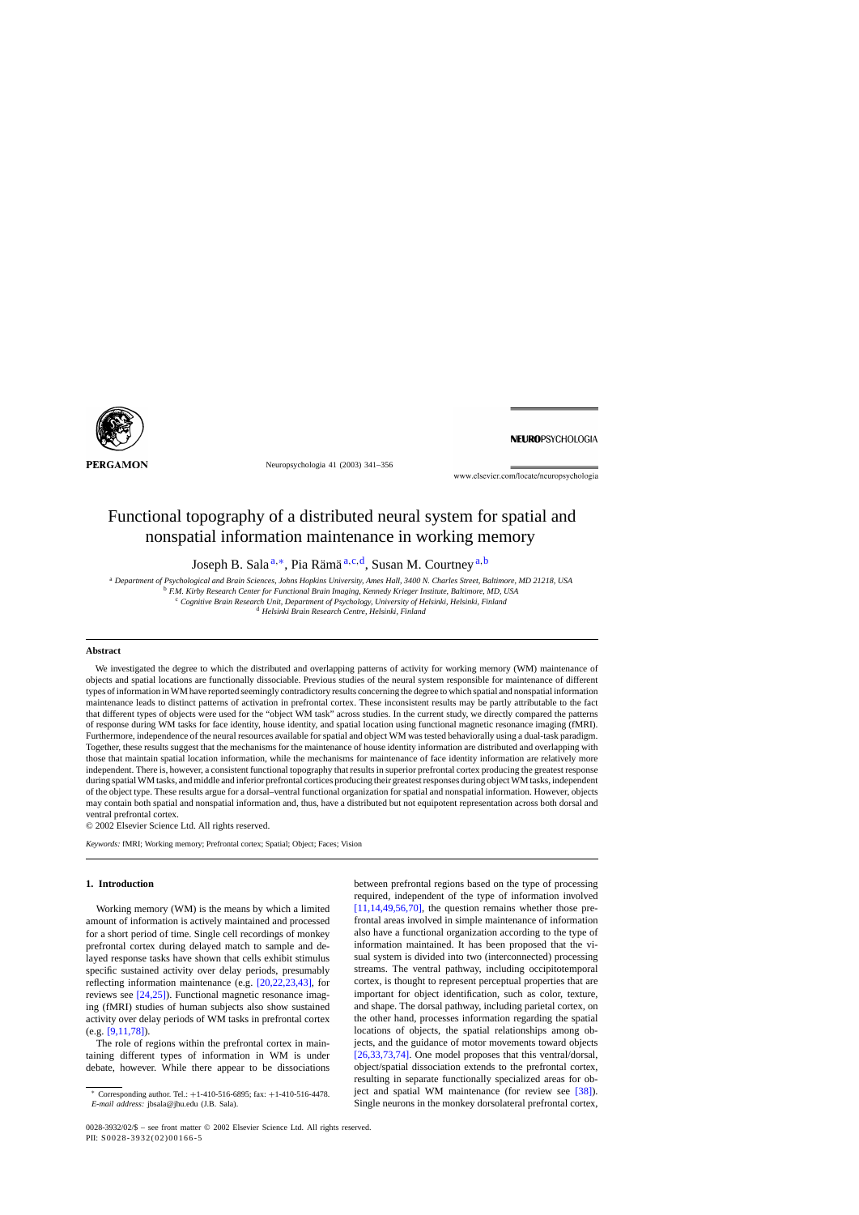

Neuropsychologia 41 (2003) 341–356

**NEUROPSYCHOLOGIA** 

www.elsevier.com/locate/neuropsychologia

# Functional topography of a distributed neural system for spatial and nonspatial information maintenance in working memory

Joseph B. Sala<sup>a,∗</sup>, Pia Rämä<sup>a,c,d</sup>, Susan M. Courtney<sup>a,b</sup>

<sup>a</sup> *Department of Psychological and Brain Sciences, Johns Hopkins University, Ames Hall, 3400 N. Charles Street, Baltimore, MD 21218, USA*

<sup>b</sup> *F.M. Kirby Research Center for Functional Brain Imaging, Kennedy Krieger Institute, Baltimore, MD, USA*

<sup>c</sup> *Cognitive Brain Research Unit, Department of Psychology, University of Helsinki, Helsinki, Finland*

<sup>d</sup> *Helsinki Brain Research Centre, Helsinki, Finland*

#### **Abstract**

We investigated the degree to which the distributed and overlapping patterns of activity for working memory (WM) maintenance of objects and spatial locations are functionally dissociable. Previous studies of the neural system responsible for maintenance of different types of information in WM have reported seemingly contradictory results concerning the degree to which spatial and nonspatial information maintenance leads to distinct patterns of activation in prefrontal cortex. These inconsistent results may be partly attributable to the fact that different types of objects were used for the "object WM task" across studies. In the current study, we directly compared the patterns of response during WM tasks for face identity, house identity, and spatial location using functional magnetic resonance imaging (fMRI). Furthermore, independence of the neural resources available for spatial and object WM was tested behaviorally using a dual-task paradigm. Together, these results suggest that the mechanisms for the maintenance of house identity information are distributed and overlapping with those that maintain spatial location information, while the mechanisms for maintenance of face identity information are relatively more independent. There is, however, a consistent functional topography that results in superior prefrontal cortex producing the greatest response during spatial WM tasks, and middle and inferior prefrontal cortices producing their greatest responses during object WM tasks, independent of the object type. These results argue for a dorsal–ventral functional organization for spatial and nonspatial information. However, objects may contain both spatial and nonspatial information and, thus, have a distributed but not equipotent representation across both dorsal and ventral prefrontal cortex.

© 2002 Elsevier Science Ltd. All rights reserved.

*Keywords:* fMRI; Working memory; Prefrontal cortex; Spatial; Object; Faces; Vision

# **1. Introduction**

Working memory (WM) is the means by which a limited amount of information is actively maintained and processed for a short period of time. Single cell recordings of monkey prefrontal cortex during delayed match to sample and delayed response tasks have shown that cells exhibit stimulus specific sustained activity over delay periods, presumably reflecting information maintenance (e.g. [\[20,22,23,43\],](#page-13-0) for reviews see [\[24,25\]\).](#page-13-0) Functional magnetic resonance imaging (fMRI) studies of human subjects also show sustained activity over delay periods of WM tasks in prefrontal cortex  $(e.g. [9,11,78])$ .

The role of regions within the prefrontal cortex in maintaining different types of information in WM is under debate, however. While there appear to be dissociations

between prefrontal regions based on the type of processing required, independent of the type of information involved  $[11,14,49,56,70]$ , the question remains whether those prefrontal areas involved in simple maintenance of information also have a functional organization according to the type of information maintained. It has been proposed that the visual system is divided into two (interconnected) processing streams. The ventral pathway, including occipitotemporal cortex, is thought to represent perceptual properties that are important for object identification, such as color, texture, and shape. The dorsal pathway, including parietal cortex, on the other hand, processes information regarding the spatial locations of objects, the spatial relationships among objects, and the guidance of motor movements toward objects [\[26,33,73,74\].](#page-13-0) One model proposes that this ventral/dorsal, object/spatial dissociation extends to the prefrontal cortex, resulting in separate functionally specialized areas for ob-ject and spatial WM maintenance (for review see [\[38\]\).](#page-14-0) Single neurons in the monkey dorsolateral prefrontal cortex,

<sup>∗</sup> Corresponding author. Tel.: +1-410-516-6895; fax: +1-410-516-4478. *E-mail address:* jbsala@jhu.edu (J.B. Sala).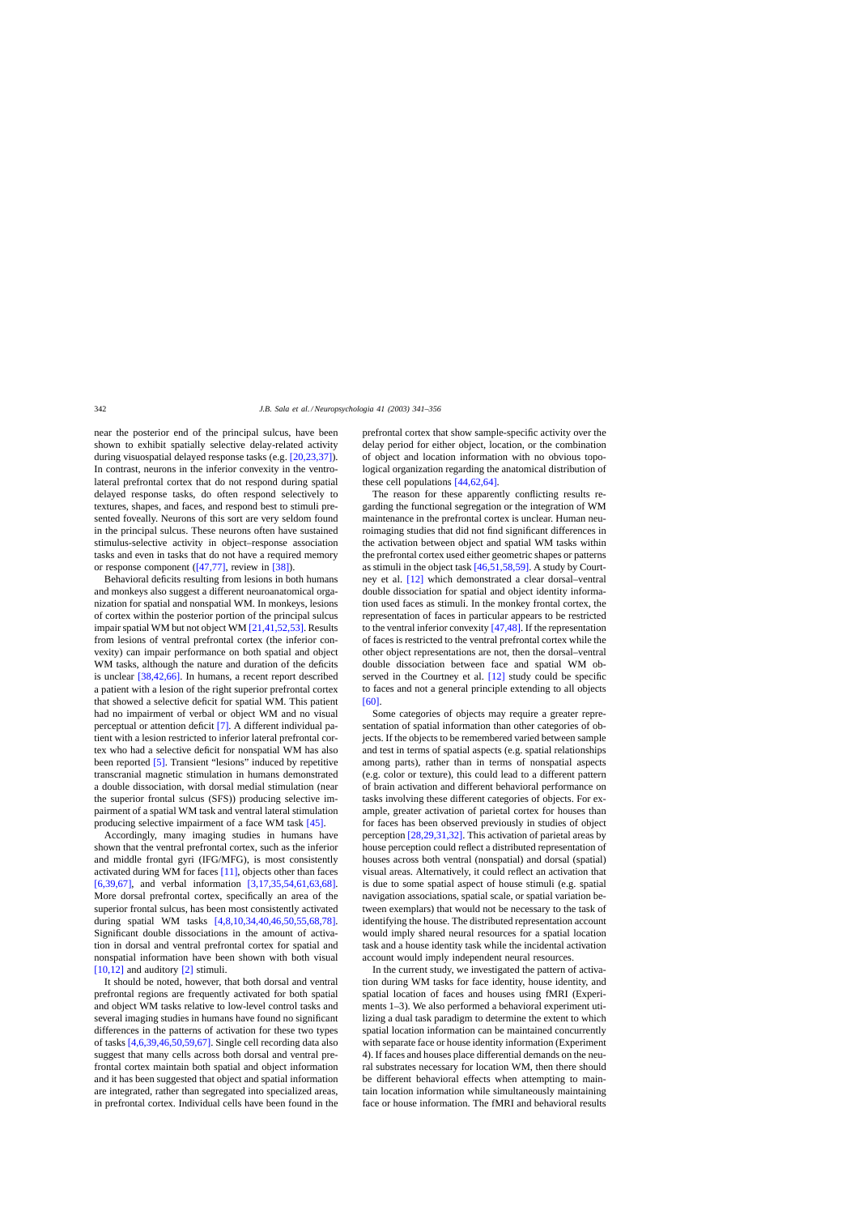near the posterior end of the principal sulcus, have been shown to exhibit spatially selective delay-related activity during visuospatial delayed response tasks (e.g. [\[20,23,37\]\).](#page-13-0) In contrast, neurons in the inferior convexity in the ventrolateral prefrontal cortex that do not respond during spatial delayed response tasks, do often respond selectively to textures, shapes, and faces, and respond best to stimuli presented foveally. Neurons of this sort are very seldom found in the principal sulcus. These neurons often have sustained stimulus-selective activity in object–response association tasks and even in tasks that do not have a required memory or response component [\(\[47,77\],](#page-14-0) review in [\[38\]\).](#page-14-0)

Behavioral deficits resulting from lesions in both humans and monkeys also suggest a different neuroanatomical organization for spatial and nonspatial WM. In monkeys, lesions of cortex within the posterior portion of the principal sulcus impair spatial WM but not object WM [\[21,41,52,53\]. R](#page-13-0)esults from lesions of ventral prefrontal cortex (the inferior convexity) can impair performance on both spatial and object WM tasks, although the nature and duration of the deficits is unclear [\[38,42,66\].](#page-14-0) In humans, a recent report described a patient with a lesion of the right superior prefrontal cortex that showed a selective deficit for spatial WM. This patient had no impairment of verbal or object WM and no visual perceptual or attention deficit [\[7\].](#page-13-0) A different individual patient with a lesion restricted to inferior lateral prefrontal cortex who had a selective deficit for nonspatial WM has also been reported [\[5\].](#page-13-0) Transient "lesions" induced by repetitive transcranial magnetic stimulation in humans demonstrated a double dissociation, with dorsal medial stimulation (near the superior frontal sulcus (SFS)) producing selective impairment of a spatial WM task and ventral lateral stimulation producing selective impairment of a face WM task [\[45\].](#page-14-0)

Accordingly, many imaging studies in humans have shown that the ventral prefrontal cortex, such as the inferior and middle frontal gyri (IFG/MFG), is most consistently activated during WM for faces [\[11\], o](#page-13-0)bjects other than faces [\[6,39,67\],](#page-13-0) and verbal information [\[3,17,35,54,61,63,68\].](#page-13-0) More dorsal prefrontal cortex, specifically an area of the superior frontal sulcus, has been most consistently activated during spatial WM tasks [\[4,8,10,34,40,46,50,55,68,78\].](#page-13-0) Significant double dissociations in the amount of activation in dorsal and ventral prefrontal cortex for spatial and nonspatial information have been shown with both visual [\[10,12\]](#page-13-0) and auditory [\[2\]](#page-13-0) stimuli.

It should be noted, however, that both dorsal and ventral prefrontal regions are frequently activated for both spatial and object WM tasks relative to low-level control tasks and several imaging studies in humans have found no significant differences in the patterns of activation for these two types of tasks [\[4,6,39,46,50,59,67\]. S](#page-13-0)ingle cell recording data also suggest that many cells across both dorsal and ventral prefrontal cortex maintain both spatial and object information and it has been suggested that object and spatial information are integrated, rather than segregated into specialized areas, in prefrontal cortex. Individual cells have been found in the prefrontal cortex that show sample-specific activity over the delay period for either object, location, or the combination of object and location information with no obvious topological organization regarding the anatomical distribution of these cell populations [\[44,62,64\].](#page-14-0)

The reason for these apparently conflicting results regarding the functional segregation or the integration of WM maintenance in the prefrontal cortex is unclear. Human neuroimaging studies that did not find significant differences in the activation between object and spatial WM tasks within the prefrontal cortex used either geometric shapes or patterns as stimuli in the object task [\[46,51,58,59\]. A](#page-14-0) study by Courtney et al. [\[12\]](#page-13-0) which demonstrated a clear dorsal–ventral double dissociation for spatial and object identity information used faces as stimuli. In the monkey frontal cortex, the representation of faces in particular appears to be restricted to the ventral inferior convexity [\[47,48\]. I](#page-14-0)f the representation of faces is restricted to the ventral prefrontal cortex while the other object representations are not, then the dorsal–ventral double dissociation between face and spatial WM observed in the Courtney et al. [\[12\]](#page-13-0) study could be specific to faces and not a general principle extending to all objects [\[60\].](#page-14-0)

Some categories of objects may require a greater representation of spatial information than other categories of objects. If the objects to be remembered varied between sample and test in terms of spatial aspects (e.g. spatial relationships among parts), rather than in terms of nonspatial aspects (e.g. color or texture), this could lead to a different pattern of brain activation and different behavioral performance on tasks involving these different categories of objects. For example, greater activation of parietal cortex for houses than for faces has been observed previously in studies of object perception [\[28,29,31,32\]. T](#page-13-0)his activation of parietal areas by house perception could reflect a distributed representation of houses across both ventral (nonspatial) and dorsal (spatial) visual areas. Alternatively, it could reflect an activation that is due to some spatial aspect of house stimuli (e.g. spatial navigation associations, spatial scale, or spatial variation between exemplars) that would not be necessary to the task of identifying the house. The distributed representation account would imply shared neural resources for a spatial location task and a house identity task while the incidental activation account would imply independent neural resources.

In the current study, we investigated the pattern of activation during WM tasks for face identity, house identity, and spatial location of faces and houses using fMRI (Experiments 1–3). We also performed a behavioral experiment utilizing a dual task paradigm to determine the extent to which spatial location information can be maintained concurrently with separate face or house identity information (Experiment 4). If faces and houses place differential demands on the neural substrates necessary for location WM, then there should be different behavioral effects when attempting to maintain location information while simultaneously maintaining face or house information. The fMRI and behavioral results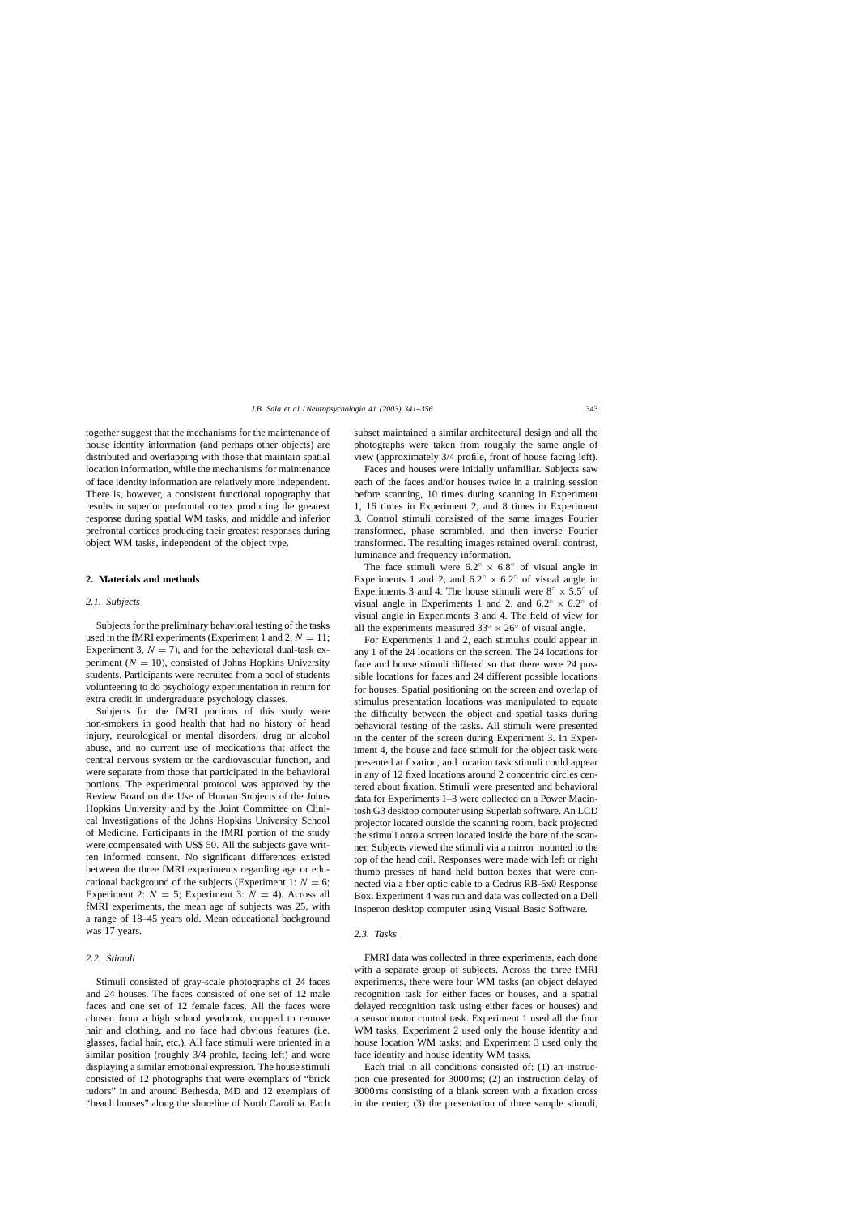<span id="page-2-0"></span>together suggest that the mechanisms for the maintenance of house identity information (and perhaps other objects) are distributed and overlapping with those that maintain spatial location information, while the mechanisms for maintenance of face identity information are relatively more independent. There is, however, a consistent functional topography that results in superior prefrontal cortex producing the greatest response during spatial WM tasks, and middle and inferior prefrontal cortices producing their greatest responses during object WM tasks, independent of the object type.

# **2. Materials and methods**

## *2.1. Subjects*

Subjects for the preliminary behavioral testing of the tasks used in the fMRI experiments (Experiment 1 and 2,  $N = 11$ ; Experiment 3,  $N = 7$ , and for the behavioral dual-task experiment ( $N = 10$ ), consisted of Johns Hopkins University students. Participants were recruited from a pool of students volunteering to do psychology experimentation in return for extra credit in undergraduate psychology classes.

Subjects for the fMRI portions of this study were non-smokers in good health that had no history of head injury, neurological or mental disorders, drug or alcohol abuse, and no current use of medications that affect the central nervous system or the cardiovascular function, and were separate from those that participated in the behavioral portions. The experimental protocol was approved by the Review Board on the Use of Human Subjects of the Johns Hopkins University and by the Joint Committee on Clinical Investigations of the Johns Hopkins University School of Medicine. Participants in the fMRI portion of the study were compensated with US\$ 50. All the subjects gave written informed consent. No significant differences existed between the three fMRI experiments regarding age or educational background of the subjects (Experiment 1:  $N = 6$ ; Experiment 2:  $N = 5$ ; Experiment 3:  $N = 4$ ). Across all fMRI experiments, the mean age of subjects was 25, with a range of 18–45 years old. Mean educational background was 17 years.

#### *2.2. Stimuli*

Stimuli consisted of gray-scale photographs of 24 faces and 24 houses. The faces consisted of one set of 12 male faces and one set of 12 female faces. All the faces were chosen from a high school yearbook, cropped to remove hair and clothing, and no face had obvious features (i.e. glasses, facial hair, etc.). All face stimuli were oriented in a similar position (roughly 3/4 profile, facing left) and were displaying a similar emotional expression. The house stimuli consisted of 12 photographs that were exemplars of "brick tudors" in and around Bethesda, MD and 12 exemplars of "beach houses" along the shoreline of North Carolina. Each

subset maintained a similar architectural design and all the photographs were taken from roughly the same angle of view (approximately 3/4 profile, front of house facing left).

Faces and houses were initially unfamiliar. Subjects saw each of the faces and/or houses twice in a training session before scanning, 10 times during scanning in Experiment 1, 16 times in Experiment 2, and 8 times in Experiment 3. Control stimuli consisted of the same images Fourier transformed, phase scrambled, and then inverse Fourier transformed. The resulting images retained overall contrast, luminance and frequency information.

The face stimuli were  $6.2° \times 6.8°$  of visual angle in Experiments 1 and 2, and  $6.2° \times 6.2°$  of visual angle in Experiments 3 and 4. The house stimuli were  $8° \times 5.5°$  of visual angle in Experiments 1 and 2, and  $6.2° \times 6.2°$  of visual angle in Experiments 3 and 4. The field of view for all the experiments measured  $33° \times 26°$  of visual angle.

For Experiments 1 and 2, each stimulus could appear in any 1 of the 24 locations on the screen. The 24 locations for face and house stimuli differed so that there were 24 possible locations for faces and 24 different possible locations for houses. Spatial positioning on the screen and overlap of stimulus presentation locations was manipulated to equate the difficulty between the object and spatial tasks during behavioral testing of the tasks. All stimuli were presented in the center of the screen during Experiment 3. In Experiment 4, the house and face stimuli for the object task were presented at fixation, and location task stimuli could appear in any of 12 fixed locations around 2 concentric circles centered about fixation. Stimuli were presented and behavioral data for Experiments 1–3 were collected on a Power Macintosh G3 desktop computer using Superlab software. An LCD projector located outside the scanning room, back projected the stimuli onto a screen located inside the bore of the scanner. Subjects viewed the stimuli via a mirror mounted to the top of the head coil. Responses were made with left or right thumb presses of hand held button boxes that were connected via a fiber optic cable to a Cedrus RB-6x0 Response Box. Experiment 4 was run and data was collected on a Dell Insperon desktop computer using Visual Basic Software.

# *2.3. Tasks*

FMRI data was collected in three experiments, each done with a separate group of subjects. Across the three fMRI experiments, there were four WM tasks (an object delayed recognition task for either faces or houses, and a spatial delayed recognition task using either faces or houses) and a sensorimotor control task. Experiment 1 used all the four WM tasks, Experiment 2 used only the house identity and house location WM tasks; and Experiment 3 used only the face identity and house identity WM tasks.

Each trial in all conditions consisted of: (1) an instruction cue presented for 3000 ms; (2) an instruction delay of 3000 ms consisting of a blank screen with a fixation cross in the center; (3) the presentation of three sample stimuli,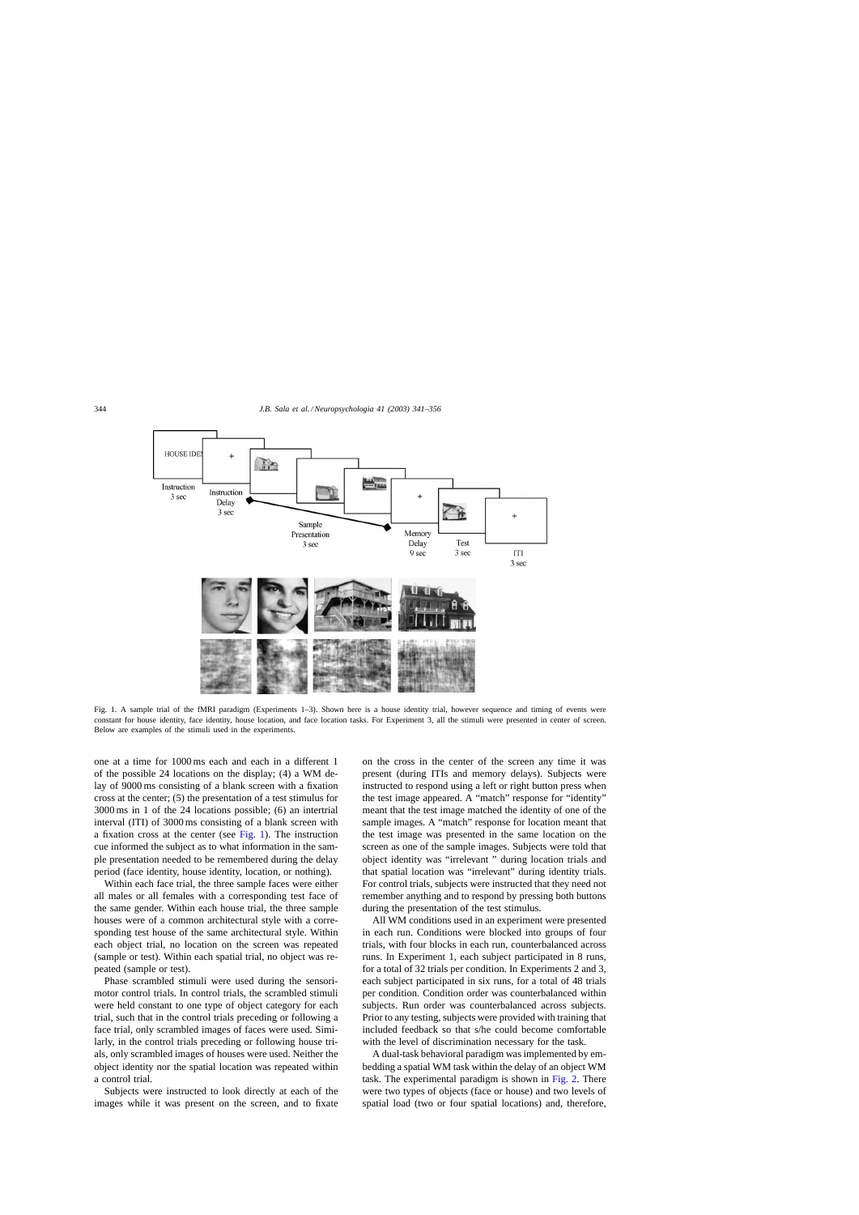

Fig. 1. A sample trial of the fMRI paradigm (Experiments 1–3). Shown here is a house identity trial, however sequence and timing of events were constant for house identity, face identity, house location, and face location tasks. For Experiment 3, all the stimuli were presented in center of screen. Below are examples of the stimuli used in the experiments.

one at a time for 1000 ms each and each in a different 1 of the possible 24 locations on the display; (4) a WM delay of 9000 ms consisting of a blank screen with a fixation cross at the center; (5) the presentation of a test stimulus for 3000 ms in 1 of the 24 locations possible; (6) an intertrial interval (ITI) of 3000 ms consisting of a blank screen with a fixation cross at the center (see Fig. 1). The instruction cue informed the subject as to what information in the sample presentation needed to be remembered during the delay period (face identity, house identity, location, or nothing).

Within each face trial, the three sample faces were either all males or all females with a corresponding test face of the same gender. Within each house trial, the three sample houses were of a common architectural style with a corresponding test house of the same architectural style. Within each object trial, no location on the screen was repeated (sample or test). Within each spatial trial, no object was repeated (sample or test).

Phase scrambled stimuli were used during the sensorimotor control trials. In control trials, the scrambled stimuli were held constant to one type of object category for each trial, such that in the control trials preceding or following a face trial, only scrambled images of faces were used. Similarly, in the control trials preceding or following house trials, only scrambled images of houses were used. Neither the object identity nor the spatial location was repeated within a control trial.

Subjects were instructed to look directly at each of the images while it was present on the screen, and to fixate on the cross in the center of the screen any time it was present (during ITIs and memory delays). Subjects were instructed to respond using a left or right button press when the test image appeared. A "match" response for "identity" meant that the test image matched the identity of one of the sample images. A "match" response for location meant that the test image was presented in the same location on the screen as one of the sample images. Subjects were told that object identity was "irrelevant " during location trials and that spatial location was "irrelevant" during identity trials. For control trials, subjects were instructed that they need not remember anything and to respond by pressing both buttons during the presentation of the test stimulus.

All WM conditions used in an experiment were presented in each run. Conditions were blocked into groups of four trials, with four blocks in each run, counterbalanced across runs. In Experiment 1, each subject participated in 8 runs, for a total of 32 trials per condition. In Experiments 2 and 3, each subject participated in six runs, for a total of 48 trials per condition. Condition order was counterbalanced within subjects. Run order was counterbalanced across subjects. Prior to any testing, subjects were provided with training that included feedback so that s/he could become comfortable with the level of discrimination necessary for the task.

A dual-task behavioral paradigm was implemented by embedding a spatial WM task within the delay of an object WM task. The experimental paradigm is shown in [Fig. 2.](#page-4-0) There were two types of objects (face or house) and two levels of spatial load (two or four spatial locations) and, therefore,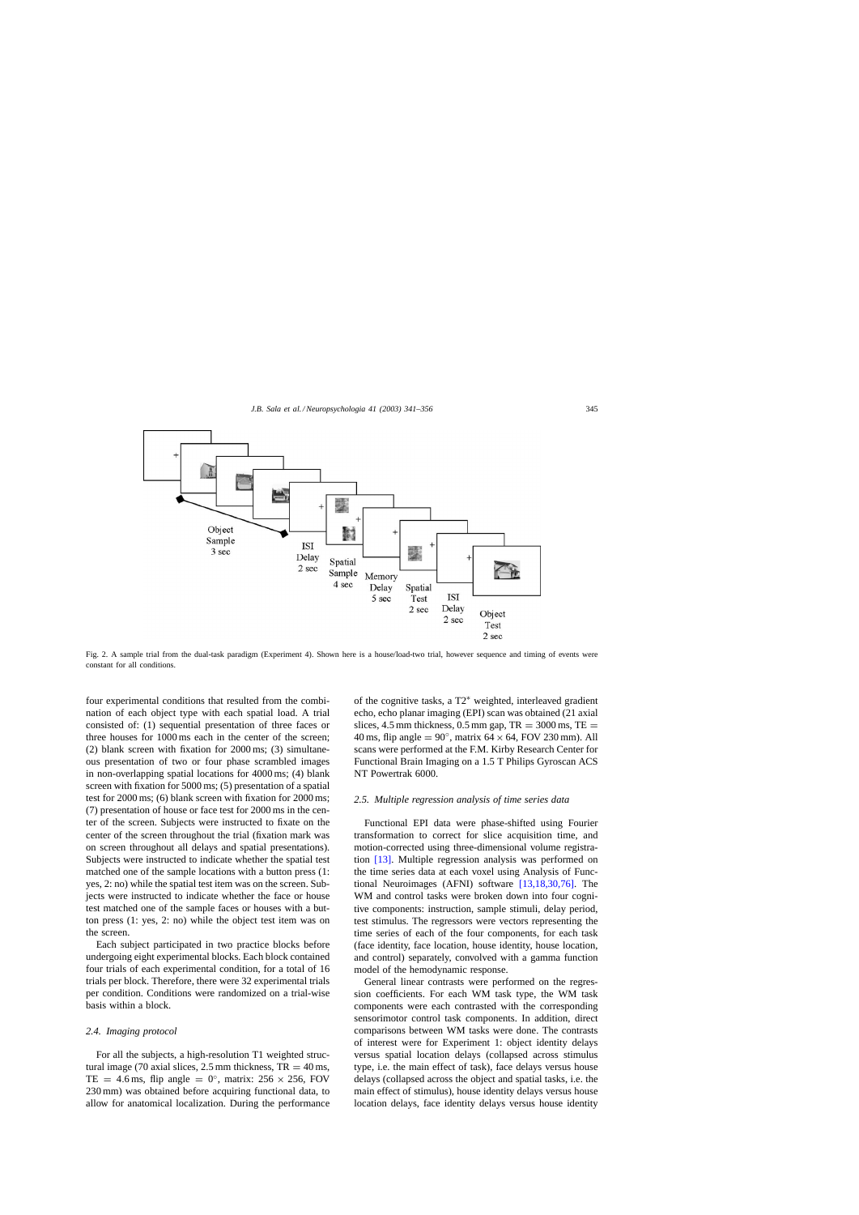<span id="page-4-0"></span>

Fig. 2. A sample trial from the dual-task paradigm (Experiment 4). Shown here is a house/load-two trial, however sequence and timing of events were constant for all conditions.

four experimental conditions that resulted from the combination of each object type with each spatial load. A trial consisted of: (1) sequential presentation of three faces or three houses for 1000 ms each in the center of the screen; (2) blank screen with fixation for 2000 ms; (3) simultaneous presentation of two or four phase scrambled images in non-overlapping spatial locations for 4000 ms; (4) blank screen with fixation for 5000 ms; (5) presentation of a spatial test for 2000 ms; (6) blank screen with fixation for 2000 ms; (7) presentation of house or face test for 2000 ms in the center of the screen. Subjects were instructed to fixate on the center of the screen throughout the trial (fixation mark was on screen throughout all delays and spatial presentations). Subjects were instructed to indicate whether the spatial test matched one of the sample locations with a button press (1: yes, 2: no) while the spatial test item was on the screen. Subjects were instructed to indicate whether the face or house test matched one of the sample faces or houses with a button press (1: yes, 2: no) while the object test item was on the screen.

Each subject participated in two practice blocks before undergoing eight experimental blocks. Each block contained four trials of each experimental condition, for a total of 16 trials per block. Therefore, there were 32 experimental trials per condition. Conditions were randomized on a trial-wise basis within a block.

## *2.4. Imaging protocol*

For all the subjects, a high-resolution T1 weighted structural image (70 axial slices, 2.5 mm thickness,  $TR = 40$  ms, TE = 4.6 ms, flip angle =  $0^\circ$ , matrix: 256  $\times$  256, FOV 230 mm) was obtained before acquiring functional data, to allow for anatomical localization. During the performance of the cognitive tasks, a T2∗ weighted, interleaved gradient echo, echo planar imaging (EPI) scan was obtained (21 axial slices, 4.5 mm thickness, 0.5 mm gap,  $TR = 3000$  ms,  $TE =$ 40 ms, flip angle =  $90^\circ$ , matrix 64 × 64, FOV 230 mm). All scans were performed at the F.M. Kirby Research Center for Functional Brain Imaging on a 1.5 T Philips Gyroscan ACS NT Powertrak 6000.

## *2.5. Multiple regression analysis of time series data*

Functional EPI data were phase-shifted using Fourier transformation to correct for slice acquisition time, and motion-corrected using three-dimensional volume registration [\[13\].](#page-13-0) Multiple regression analysis was performed on the time series data at each voxel using Analysis of Functional Neuroimages (AFNI) software [\[13,18,30,76\].](#page-13-0) The WM and control tasks were broken down into four cognitive components: instruction, sample stimuli, delay period, test stimulus. The regressors were vectors representing the time series of each of the four components, for each task (face identity, face location, house identity, house location, and control) separately, convolved with a gamma function model of the hemodynamic response.

General linear contrasts were performed on the regression coefficients. For each WM task type, the WM task components were each contrasted with the corresponding sensorimotor control task components. In addition, direct comparisons between WM tasks were done. The contrasts of interest were for Experiment 1: object identity delays versus spatial location delays (collapsed across stimulus type, i.e. the main effect of task), face delays versus house delays (collapsed across the object and spatial tasks, i.e. the main effect of stimulus), house identity delays versus house location delays, face identity delays versus house identity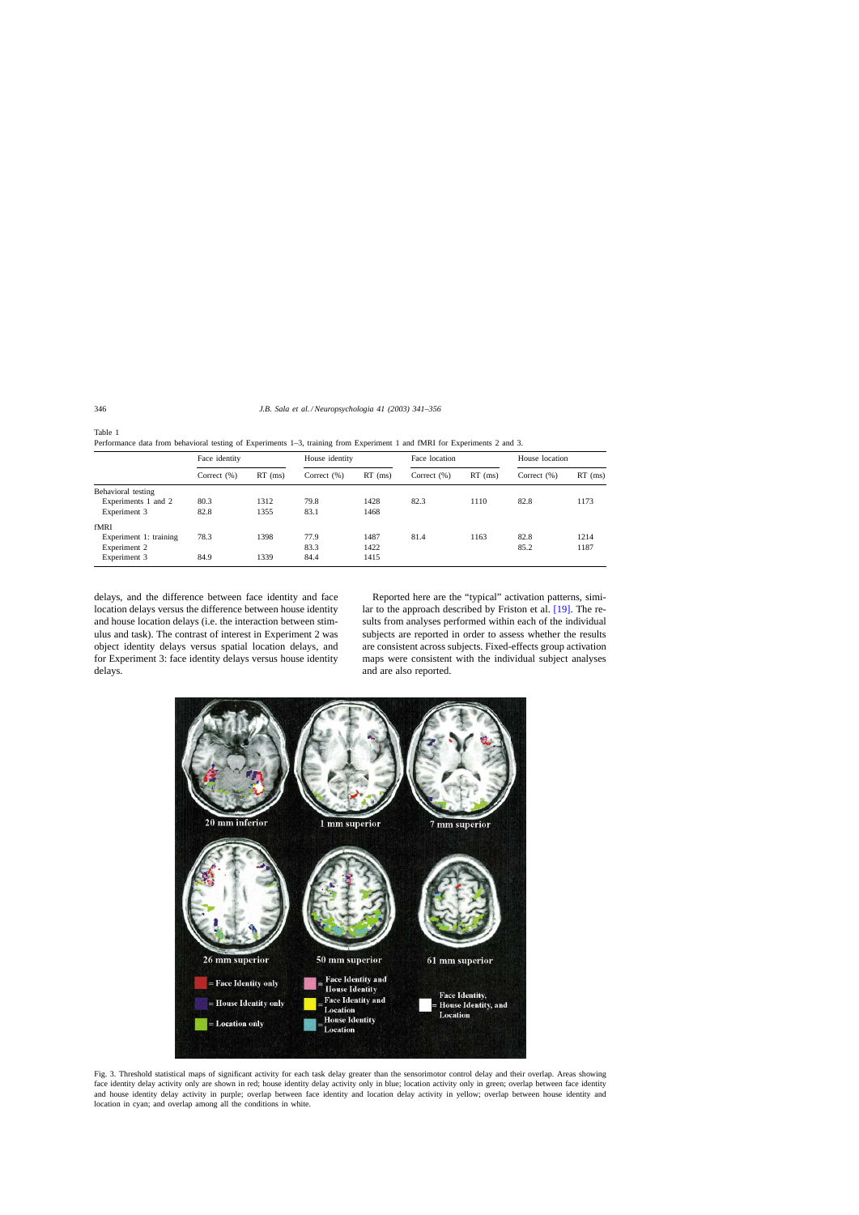<span id="page-5-0"></span>Table 1

|                        | Face identity  |           | House identity |           | Face location  |           | House location |           |
|------------------------|----------------|-----------|----------------|-----------|----------------|-----------|----------------|-----------|
|                        | Correct $(\%)$ | $RT$ (ms) | Correct $(\%)$ | $RT$ (ms) | Correct $(\%)$ | $RT$ (ms) | Correct $(\%)$ | $RT$ (ms) |
| Behavioral testing     |                |           |                |           |                |           |                |           |
| Experiments 1 and 2    | 80.3           | 1312      | 79.8           | 1428      | 82.3           | 1110      | 82.8           | 1173      |
| Experiment 3           | 82.8           | 1355      | 83.1           | 1468      |                |           |                |           |
| fMRI                   |                |           |                |           |                |           |                |           |
| Experiment 1: training | 78.3           | 1398      | 77.9           | 1487      | 81.4           | 1163      | 82.8           | 1214      |
| Experiment 2           |                |           | 83.3           | 1422      |                |           | 85.2           | 1187      |
| Experiment 3           | 84.9           | 1339      | 84.4           | 1415      |                |           |                |           |

Performance data from behavioral testing of Experiments 1–3, training from Experiment 1 and fMRI for Experiments 2 and 3.

delays, and the difference between face identity and face location delays versus the difference between house identity and house location delays (i.e. the interaction between stimulus and task). The contrast of interest in Experiment 2 was object identity delays versus spatial location delays, and for Experiment 3: face identity delays versus house identity delays.

Reported here are the "typical" activation patterns, similar to the approach described by Friston et al. [\[19\].](#page-13-0) The results from analyses performed within each of the individual subjects are reported in order to assess whether the results are consistent across subjects. Fixed-effects group activation maps were consistent with the individual subject analyses and are also reported.



Fig. 3. Threshold statistical maps of significant activity for each task delay greater than the sensorimotor control delay and their overlap. Areas showing face identity delay activity only are shown in red; house identity delay activity only in blue; location activity only in green; overlap between face identity and house identity delay activity in purple; overlap between face identity and location delay activity in yellow; overlap between house identity and location in cyan; and overlap among all the conditions in white.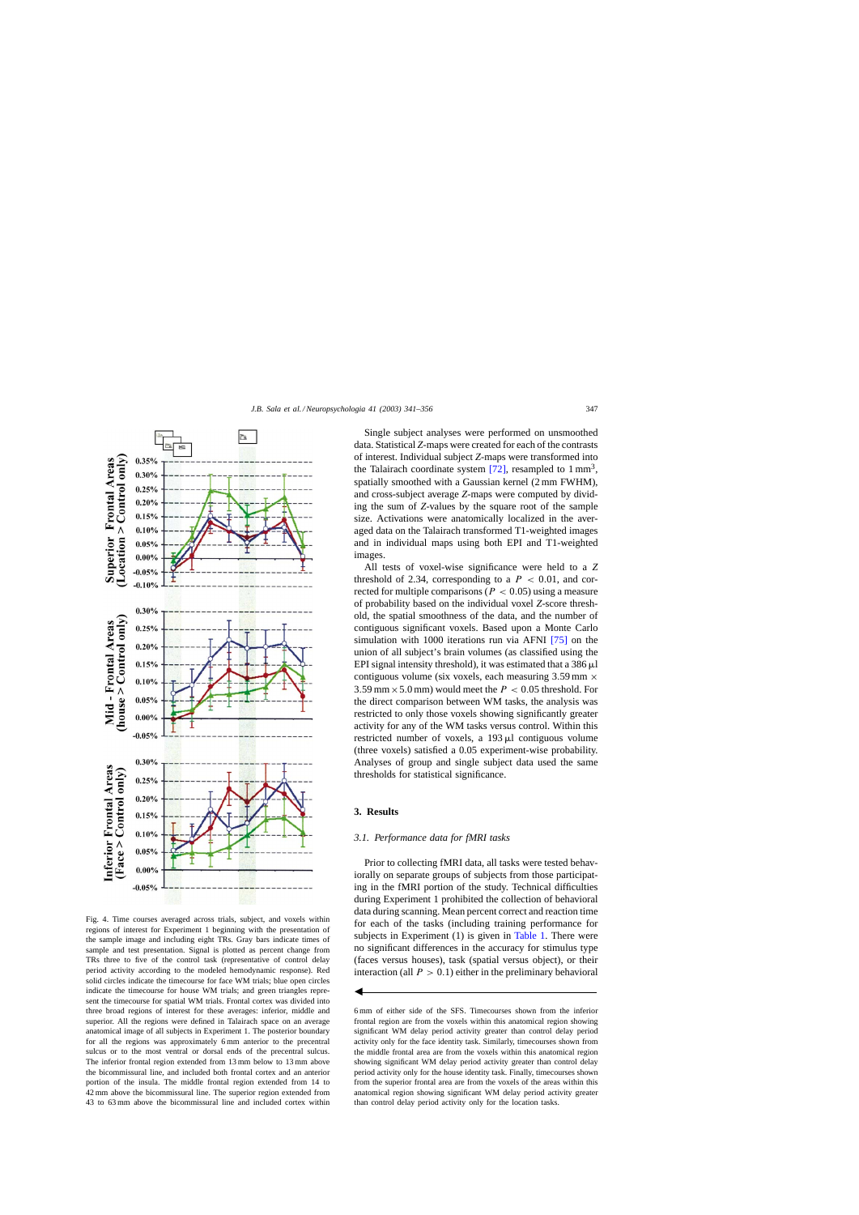

<span id="page-6-0"></span>

Fig. 4. Time courses averaged across trials, subject, and voxels within regions of interest for Experiment 1 beginning with the presentation of the sample image and including eight TRs. Gray bars indicate times of sample and test presentation. Signal is plotted as percent change from TRs three to five of the control task (representative of control delay period activity according to the modeled hemodynamic response). Red solid circles indicate the timecourse for face WM trials; blue open circles indicate the timecourse for house WM trials; and green triangles represent the timecourse for spatial WM trials. Frontal cortex was divided into three broad regions of interest for these averages: inferior, middle and superior. All the regions were defined in Talairach space on an average anatomical image of all subjects in Experiment 1. The posterior boundary for all the regions was approximately 6 mm anterior to the precentral sulcus or to the most ventral or dorsal ends of the precentral sulcus. The inferior frontal region extended from 13 mm below to 13 mm above the bicommissural line, and included both frontal cortex and an anterior portion of the insula. The middle frontal region extended from 14 to 42 mm above the bicommissural line. The superior region extended from 43 to 63 mm above the bicommissural line and included cortex within

Single subject analyses were performed on unsmoothed data. Statistical *Z*-maps were created for each of the contrasts of interest. Individual subject *Z*-maps were transformed into the Talairach coordinate system  $[72]$ , resampled to  $1 \text{ mm}^3$ , spatially smoothed with a Gaussian kernel (2 mm FWHM), and cross-subject average *Z*-maps were computed by dividing the sum of *Z*-values by the square root of the sample size. Activations were anatomically localized in the averaged data on the Talairach transformed T1-weighted images and in individual maps using both EPI and T1-weighted images.

All tests of voxel-wise significance were held to a *Z* threshold of 2.34, corresponding to a  $P < 0.01$ , and corrected for multiple comparisons ( $P < 0.05$ ) using a measure of probability based on the individual voxel *Z*-score threshold, the spatial smoothness of the data, and the number of contiguous significant voxels. Based upon a Monte Carlo simulation with 1000 iterations run via AFNI [\[75\]](#page-15-0) on the union of all subject's brain volumes (as classified using the EPI signal intensity threshold), it was estimated that a 386  $\mu$ l contiguous volume (six voxels, each measuring  $3.59 \text{ mm} \times$ 3.59 mm  $\times$  5.0 mm) would meet the  $P < 0.05$  threshold. For the direct comparison between WM tasks, the analysis was restricted to only those voxels showing significantly greater activity for any of the WM tasks versus control. Within this restricted number of voxels, a  $193 \mu l$  contiguous volume (three voxels) satisfied a 0.05 experiment-wise probability. Analyses of group and single subject data used the same thresholds for statistical significance.

# **3. Results**

 $\blacktriangleleft$ 

## *3.1. Performance data for fMRI tasks*

Prior to collecting fMRI data, all tasks were tested behaviorally on separate groups of subjects from those participating in the fMRI portion of the study. Technical difficulties during Experiment 1 prohibited the collection of behavioral data during scanning. Mean percent correct and reaction time for each of the tasks (including training performance for subjects in Experiment (1) is given in [Table 1.](#page-5-0) There were no significant differences in the accuracy for stimulus type (faces versus houses), task (spatial versus object), or their interaction (all  $P > 0.1$ ) either in the preliminary behavioral

6 mm of either side of the SFS. Timecourses shown from the inferior frontal region are from the voxels within this anatomical region showing significant WM delay period activity greater than control delay period activity only for the face identity task. Similarly, timecourses shown from the middle frontal area are from the voxels within this anatomical region showing significant WM delay period activity greater than control delay period activity only for the house identity task. Finally, timecourses shown from the superior frontal area are from the voxels of the areas within this anatomical region showing significant WM delay period activity greater than control delay period activity only for the location tasks.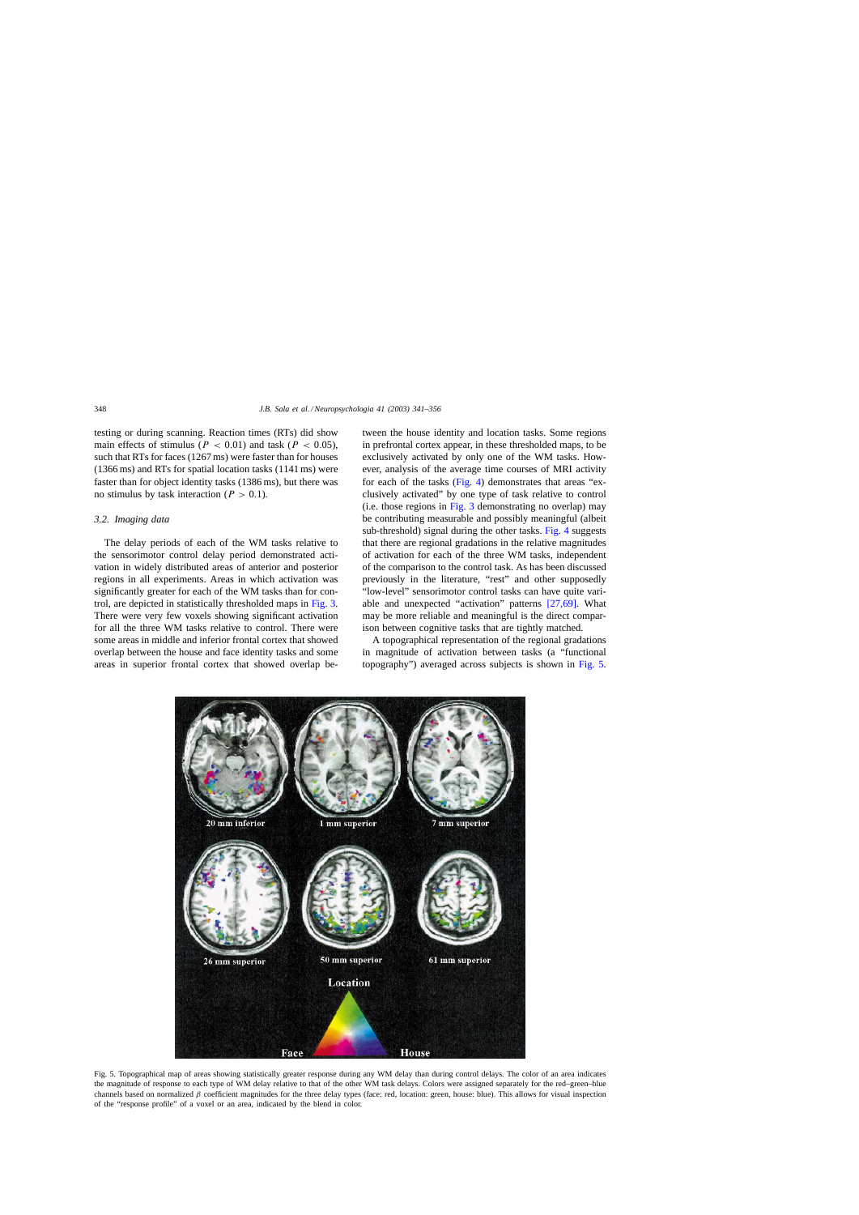<span id="page-7-0"></span>testing or during scanning. Reaction times (RTs) did show main effects of stimulus ( $P < 0.01$ ) and task ( $P < 0.05$ ), such that RTs for faces (1267 ms) were faster than for houses (1366 ms) and RTs for spatial location tasks (1141 ms) were faster than for object identity tasks (1386 ms), but there was no stimulus by task interaction ( $P > 0.1$ ).

## *3.2. Imaging data*

The delay periods of each of the WM tasks relative to the sensorimotor control delay period demonstrated activation in widely distributed areas of anterior and posterior regions in all experiments. Areas in which activation was significantly greater for each of the WM tasks than for control, are depicted in statistically thresholded maps in [Fig. 3.](#page-5-0) There were very few voxels showing significant activation for all the three WM tasks relative to control. There were some areas in middle and inferior frontal cortex that showed overlap between the house and face identity tasks and some areas in superior frontal cortex that showed overlap between the house identity and location tasks. Some regions in prefrontal cortex appear, in these thresholded maps, to be exclusively activated by only one of the WM tasks. However, analysis of the average time courses of MRI activity for each of the tasks [\(Fig. 4\)](#page-6-0) demonstrates that areas "exclusively activated" by one type of task relative to control (i.e. those regions in [Fig. 3](#page-5-0) demonstrating no overlap) may be contributing measurable and possibly meaningful (albeit sub-threshold) signal during the other tasks. [Fig. 4](#page-6-0) suggests that there are regional gradations in the relative magnitudes of activation for each of the three WM tasks, independent of the comparison to the control task. As has been discussed previously in the literature, "rest" and other supposedly "low-level" sensorimotor control tasks can have quite variable and unexpected "activation" patterns [\[27,69\].](#page-13-0) What may be more reliable and meaningful is the direct comparison between cognitive tasks that are tightly matched.

A topographical representation of the regional gradations in magnitude of activation between tasks (a "functional topography") averaged across subjects is shown in Fig. 5.



Fig. 5. Topographical map of areas showing statistically greater response during any WM delay than during control delays. The color of an area indicates the magnitude of response to each type of WM delay relative to that of the other WM task delays. Colors were assigned separately for the red–green–blue channels based on normalized  $\beta$  coefficient magnitudes for the three delay types (face: red, location: green, house: blue). This allows for visual inspection of the "response profile" of a voxel or an area, indicated by the blend in color.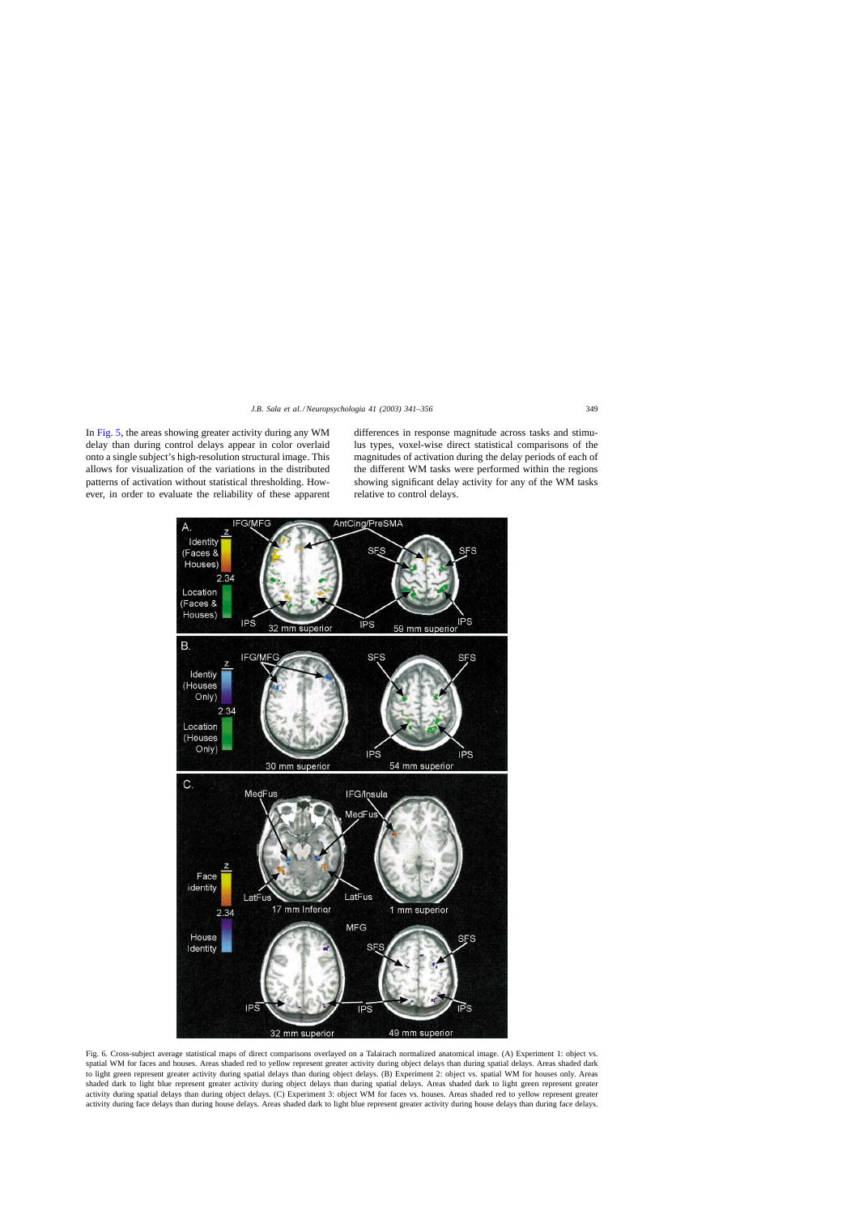<span id="page-8-0"></span>In [Fig. 5, t](#page-7-0)he areas showing greater activity during any WM delay than during control delays appear in color overlaid onto a single subject's high-resolution structural image. This allows for visualization of the variations in the distributed patterns of activation without statistical thresholding. However, in order to evaluate the reliability of these apparent differences in response magnitude across tasks and stimulus types, voxel-wise direct statistical comparisons of the magnitudes of activation during the delay periods of each of the different WM tasks were performed within the regions showing significant delay activity for any of the WM tasks relative to control delays.



Fig. 6. Cross-subject average statistical maps of direct comparisons overlayed on a Talairach normalized anatomical image. (A) Experiment 1: object vs. spatial WM for faces and houses. Areas shaded red to yellow represent greater activity during object delays than during spatial delays. Areas shaded dark to light green represent greater activity during spatial delays than during object delays. (B) Experiment 2: object vs. spatial WM for houses only. Areas shaded dark to light blue represent greater activity during object delays than during spatial delays. Areas shaded dark to light green represent greater activity during spatial delays than during object delays. (C) Experiment 3: object WM for faces vs. houses. Areas shaded red to yellow represent greater activity during face delays than during house delays. Areas shaded dark to light blue represent greater activity during house delays than during face delays.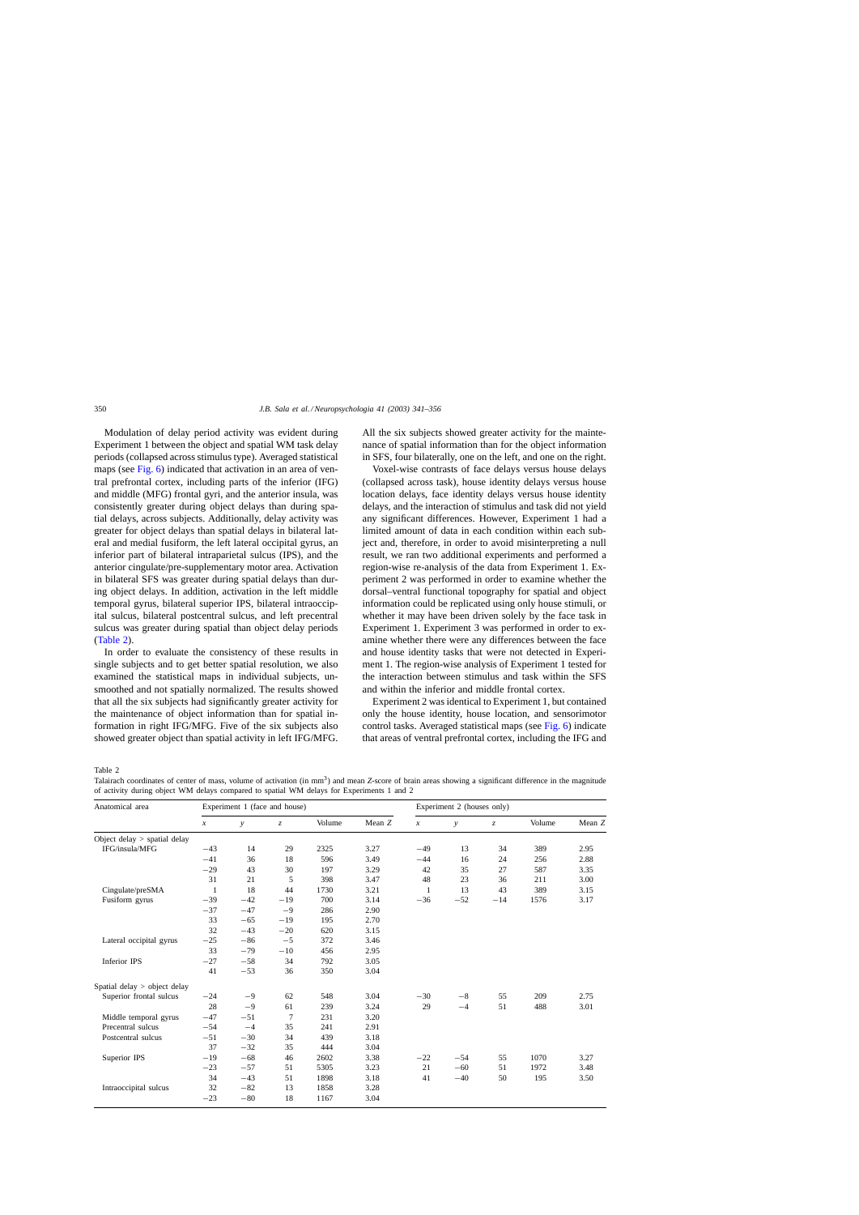<span id="page-9-0"></span>Modulation of delay period activity was evident during Experiment 1 between the object and spatial WM task delay periods (collapsed across stimulus type). Averaged statistical maps (see [Fig. 6\)](#page-8-0) indicated that activation in an area of ventral prefrontal cortex, including parts of the inferior (IFG) and middle (MFG) frontal gyri, and the anterior insula, was consistently greater during object delays than during spatial delays, across subjects. Additionally, delay activity was greater for object delays than spatial delays in bilateral lateral and medial fusiform, the left lateral occipital gyrus, an inferior part of bilateral intraparietal sulcus (IPS), and the anterior cingulate/pre-supplementary motor area. Activation in bilateral SFS was greater during spatial delays than during object delays. In addition, activation in the left middle temporal gyrus, bilateral superior IPS, bilateral intraoccipital sulcus, bilateral postcentral sulcus, and left precentral sulcus was greater during spatial than object delay periods (Table 2).

In order to evaluate the consistency of these results in single subjects and to get better spatial resolution, we also examined the statistical maps in individual subjects, unsmoothed and not spatially normalized. The results showed that all the six subjects had significantly greater activity for the maintenance of object information than for spatial information in right IFG/MFG. Five of the six subjects also showed greater object than spatial activity in left IFG/MFG. All the six subjects showed greater activity for the maintenance of spatial information than for the object information in SFS, four bilaterally, one on the left, and one on the right.

Voxel-wise contrasts of face delays versus house delays (collapsed across task), house identity delays versus house location delays, face identity delays versus house identity delays, and the interaction of stimulus and task did not yield any significant differences. However, Experiment 1 had a limited amount of data in each condition within each subject and, therefore, in order to avoid misinterpreting a null result, we ran two additional experiments and performed a region-wise re-analysis of the data from Experiment 1. Experiment 2 was performed in order to examine whether the dorsal–ventral functional topography for spatial and object information could be replicated using only house stimuli, or whether it may have been driven solely by the face task in Experiment 1. Experiment 3 was performed in order to examine whether there were any differences between the face and house identity tasks that were not detected in Experiment 1. The region-wise analysis of Experiment 1 tested for the interaction between stimulus and task within the SFS and within the inferior and middle frontal cortex.

Experiment 2 was identical to Experiment 1, but contained only the house identity, house location, and sensorimotor control tasks. Averaged statistical maps (see [Fig. 6\)](#page-8-0) indicate that areas of ventral prefrontal cortex, including the IFG and

Table 2

Talairach coordinates of center of mass, volume of activation (in mm<sup>3</sup>) and mean *Z*-score of brain areas showing a significant difference in the magnitude of activity during object WM delays compared to spatial WM delays for Experiments 1 and 2

| Anatomical area                | Experiment 1 (face and house)    |               |                               |        |        | Experiment 2 (houses only) |               |                               |        |        |
|--------------------------------|----------------------------------|---------------|-------------------------------|--------|--------|----------------------------|---------------|-------------------------------|--------|--------|
|                                | $\boldsymbol{x}$                 | $\mathcal{Y}$ | $\ensuremath{\mathnormal{Z}}$ | Volume | Mean Z | $\boldsymbol{\mathcal{X}}$ | $\mathcal{Y}$ | $\ensuremath{\mathnormal{Z}}$ | Volume | Mean Z |
| Object delay $>$ spatial delay |                                  |               |                               |        |        |                            |               |                               |        |        |
| IFG/insula/MFG                 | $-43$                            | 14            | 29                            | 2325   | 3.27   | $-49$                      | 13            | 34                            | 389    | 2.95   |
|                                | $-41$                            | 36            | 18                            | 596    | 3.49   | $-44$                      | 16            | 24                            | 256    | 2.88   |
|                                | $-29$                            | 43            | 30                            | 197    | 3.29   | 42                         | 35            | 27                            | 587    | 3.35   |
|                                | 31                               | 21            | 5                             | 398    | 3.47   | 48                         | 23            | 36                            | 211    | 3.00   |
| Cingulate/preSMA               | $\mathbf{1}$                     | 18            | 44                            | 1730   | 3.21   | $\mathbf{1}$               | 13            | 43                            | 389    | 3.15   |
| Fusiform gyrus                 | $-39$                            | $-42$         | $-19$                         | 700    | 3.14   | $-36$                      | $-52$         | $-14$                         | 1576   | 3.17   |
|                                | $-37$                            | $-47$         | $-9$                          | 286    | 2.90   |                            |               |                               |        |        |
|                                | 33<br>32<br>$-25$<br>33<br>$-27$ | $-65$         | $-19$                         | 195    | 2.70   |                            |               |                               |        |        |
|                                |                                  | $-43$         | $-20$                         | 620    | 3.15   |                            |               |                               |        |        |
| Lateral occipital gyrus        |                                  | $-86$         | $-5$                          | 372    | 3.46   |                            |               |                               |        |        |
|                                |                                  | $-79$         | $-10$                         | 456    | 2.95   |                            |               |                               |        |        |
| Inferior IPS                   |                                  | $-58$         | 34                            | 792    | 3.05   |                            |               |                               |        |        |
|                                | 41                               | $-53$         | 36                            | 350    | 3.04   |                            |               |                               |        |        |
| Spatial delay $>$ object delay |                                  |               |                               |        |        |                            |               |                               |        |        |
| Superior frontal sulcus        | $-24$                            | $-9$          | 62                            | 548    | 3.04   | $-30$                      | $-8$          | 55                            | 209    | 2.75   |
|                                | 28                               | $-9$          | 61                            | 239    | 3.24   | 29                         | $-4$          | 51                            | 488    | 3.01   |
| Middle temporal gyrus          | $-47$                            | $-51$         | 7                             | 231    | 3.20   |                            |               |                               |        |        |
| Precentral sulcus              | $-54$                            | $-4$          | 35                            | 241    | 2.91   |                            |               |                               |        |        |
| Postcentral sulcus             | $-51$                            | $-30$         | 34                            | 439    | 3.18   |                            |               |                               |        |        |
|                                | 37                               | $-32$         | 35                            | 444    | 3.04   |                            |               |                               |        |        |
| Superior IPS                   | $-19$                            | $-68$         | 46                            | 2602   | 3.38   | $-22$                      | $-54$         | 55                            | 1070   | 3.27   |
|                                | $-23$                            | $-57$         | 51                            | 5305   | 3.23   | 21                         | $-60$         | 51                            | 1972   | 3.48   |
|                                | 34                               | $-43$         | 51                            | 1898   | 3.18   | 41                         | $-40$         | 50                            | 195    | 3.50   |
| Intraoccipital sulcus          | 32                               | $-82$         | 13                            | 1858   | 3.28   |                            |               |                               |        |        |
|                                | $-23$                            | $-80$         | 18                            | 1167   | 3.04   |                            |               |                               |        |        |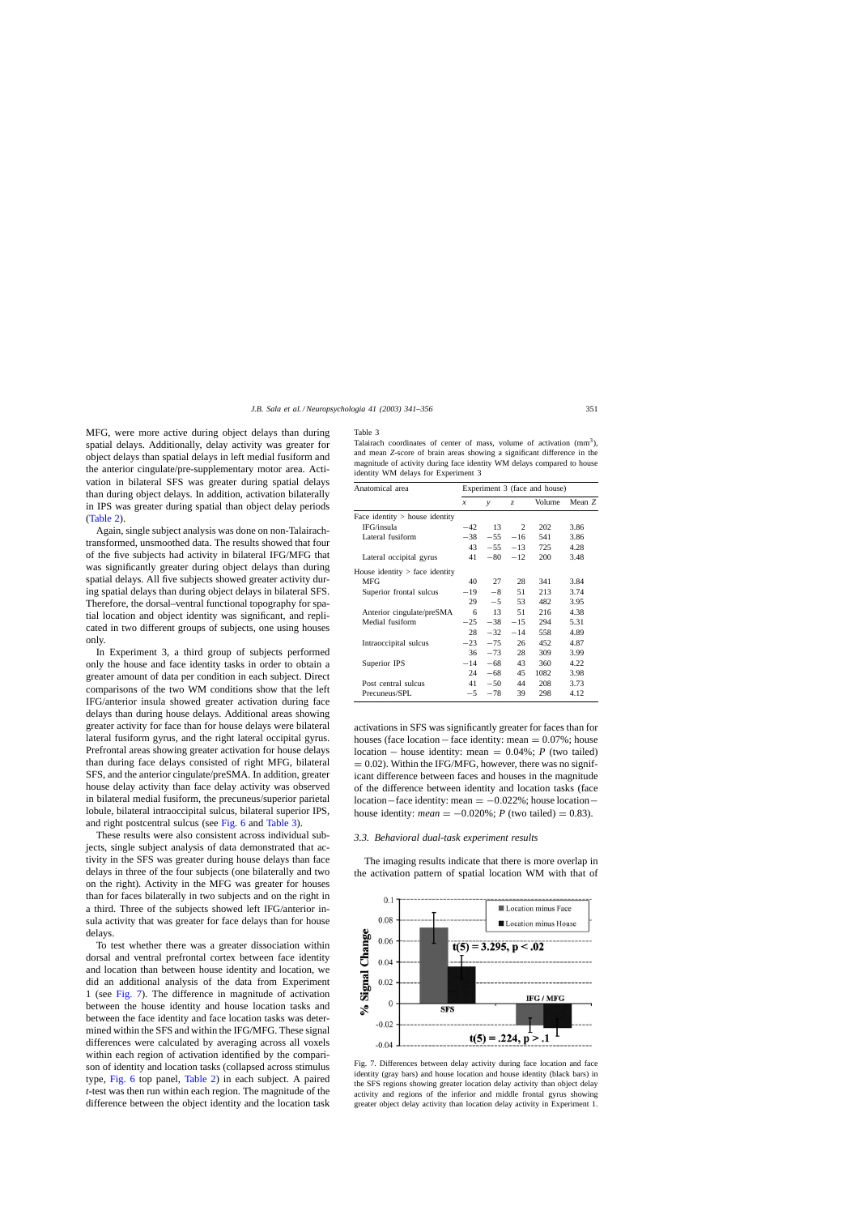<span id="page-10-0"></span>MFG, were more active during object delays than during spatial delays. Additionally, delay activity was greater for object delays than spatial delays in left medial fusiform and the anterior cingulate/pre-supplementary motor area. Activation in bilateral SFS was greater during spatial delays than during object delays. In addition, activation bilaterally in IPS was greater during spatial than object delay periods ([Table 2\).](#page-9-0)

Again, single subject analysis was done on non-Talairachtransformed, unsmoothed data. The results showed that four of the five subjects had activity in bilateral IFG/MFG that was significantly greater during object delays than during spatial delays. All five subjects showed greater activity during spatial delays than during object delays in bilateral SFS. Therefore, the dorsal–ventral functional topography for spatial location and object identity was significant, and replicated in two different groups of subjects, one using houses only.

In Experiment 3, a third group of subjects performed only the house and face identity tasks in order to obtain a greater amount of data per condition in each subject. Direct comparisons of the two WM conditions show that the left IFG/anterior insula showed greater activation during face delays than during house delays. Additional areas showing greater activity for face than for house delays were bilateral lateral fusiform gyrus, and the right lateral occipital gyrus. Prefrontal areas showing greater activation for house delays than during face delays consisted of right MFG, bilateral SFS, and the anterior cingulate/preSMA. In addition, greater house delay activity than face delay activity was observed in bilateral medial fusiform, the precuneus/superior parietal lobule, bilateral intraoccipital sulcus, bilateral superior IPS, and right postcentral sulcus (see [Fig. 6](#page-8-0) and Table 3).

These results were also consistent across individual subjects, single subject analysis of data demonstrated that activity in the SFS was greater during house delays than face delays in three of the four subjects (one bilaterally and two on the right). Activity in the MFG was greater for houses than for faces bilaterally in two subjects and on the right in a third. Three of the subjects showed left IFG/anterior insula activity that was greater for face delays than for house delays.

To test whether there was a greater dissociation within dorsal and ventral prefrontal cortex between face identity and location than between house identity and location, we did an additional analysis of the data from Experiment 1 (see Fig. 7). The difference in magnitude of activation between the house identity and house location tasks and between the face identity and face location tasks was determined within the SFS and within the IFG/MFG. These signal differences were calculated by averaging across all voxels within each region of activation identified by the comparison of identity and location tasks (collapsed across stimulus type, [Fig. 6](#page-8-0) top panel, [Table 2\)](#page-9-0) in each subject. A paired *t*-test was then run within each region. The magnitude of the difference between the object identity and the location task

#### Table 3

Talairach coordinates of center of mass, volume of activation  $(mm<sup>3</sup>)$ , and mean *Z*-score of brain areas showing a significant difference in the magnitude of activity during face identity WM delays compared to house identity WM delays for Experiment 3

| Anatomical area                  | Experiment 3 (face and house) |               |       |        |        |  |  |  |
|----------------------------------|-------------------------------|---------------|-------|--------|--------|--|--|--|
|                                  | $\boldsymbol{x}$              | $\mathcal{V}$ | Z     | Volume | Mean Z |  |  |  |
| Face identity $>$ house identity |                               |               |       |        |        |  |  |  |
| IFG/insula                       | $-42$                         | 13            | 2     | 202    | 3.86   |  |  |  |
| Lateral fusiform                 | $-38$                         | $-55$         | $-16$ | 541    | 3.86   |  |  |  |
|                                  | 43                            | $-55$         | $-13$ | 725    | 4.28   |  |  |  |
| Lateral occipital gyrus          | 41                            | $-80$         | $-12$ | 200    | 3.48   |  |  |  |
| House identity $>$ face identity |                               |               |       |        |        |  |  |  |
| MFG                              | 40                            | 27            | 28    | 341    | 3.84   |  |  |  |
| Superior frontal sulcus          | $-19$                         | $-8$          | 51    | 213    | 3.74   |  |  |  |
|                                  | 29                            | $-5$          | 53    | 482    | 3.95   |  |  |  |
| Anterior cingulate/preSMA        | 6                             | 13            | 51    | 216    | 4.38   |  |  |  |
| Medial fusiform                  | $-25$                         | $-38$         | $-15$ | 294    | 5.31   |  |  |  |
|                                  | 28                            | $-32$         | $-14$ | 558    | 4.89   |  |  |  |
| Intraoccipital sulcus            | $-23$                         | $-75$         | 26    | 452    | 4.87   |  |  |  |
|                                  | 36                            | $-73$         | 28    | 309    | 3.99   |  |  |  |
| Superior IPS                     | $-14$                         | $-68$         | 43    | 360    | 4.22   |  |  |  |
|                                  | 24                            | $-68$         | 45    | 1082   | 3.98   |  |  |  |
| Post central sulcus              | 41                            | $-50$         | 44    | 208    | 3.73   |  |  |  |
| Precuneus/SPL                    | $-5$                          | $-78$         | 39    | 298    | 4.12   |  |  |  |

activations in SFS was significantly greater for faces than for houses (face location−face identity: mean = 0.07%; house location − house identity: mean = 0.04%; *P* (two tailed)  $= 0.02$ ). Within the IFG/MFG, however, there was no significant difference between faces and houses in the magnitude of the difference between identity and location tasks (face location−face identity: mean = −0.022%; house location− house identity: *mean* = −0.020%; *P* (two tailed) = 0.83).

## *3.3. Behavioral dual-task experiment results*

The imaging results indicate that there is more overlap in the activation pattern of spatial location WM with that of



Fig. 7. Differences between delay activity during face location and face identity (gray bars) and house location and house identity (black bars) in the SFS regions showing greater location delay activity than object delay activity and regions of the inferior and middle frontal gyrus showing greater object delay activity than location delay activity in Experiment 1.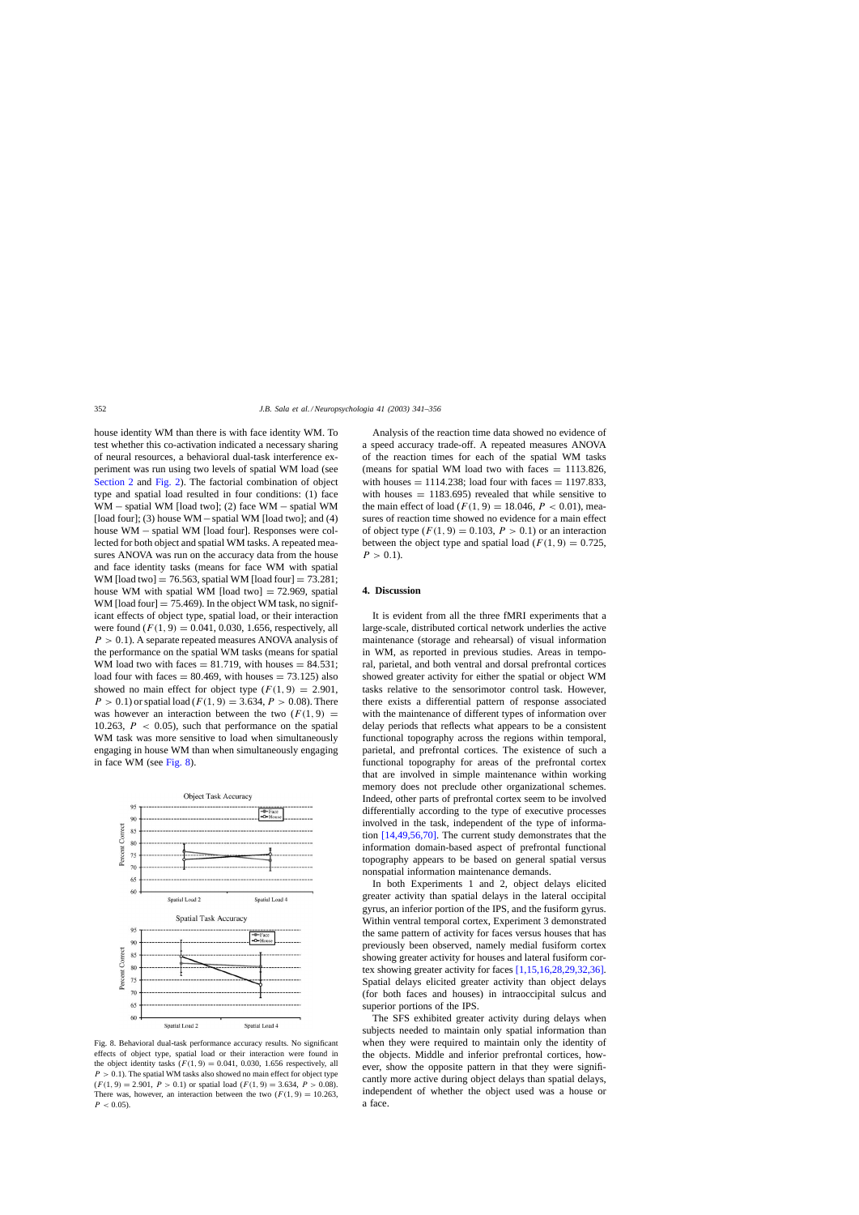house identity WM than there is with face identity WM. To test whether this co-activation indicated a necessary sharing of neural resources, a behavioral dual-task interference experiment was run using two levels of spatial WM load (see [Section 2](#page-2-0) and [Fig. 2\).](#page-4-0) The factorial combination of object type and spatial load resulted in four conditions: (1) face WM − spatial WM [load two]; (2) face WM − spatial WM [load four]; (3) house WM−spatial WM [load two]; and (4) house WM − spatial WM [load four]. Responses were collected for both object and spatial WM tasks. A repeated measures ANOVA was run on the accuracy data from the house and face identity tasks (means for face WM with spatial WM [load two]  $= 76.563$ , spatial WM [load four]  $= 73.281$ ; house WM with spatial WM [load two]  $= 72.969$ , spatial WM [load four]  $= 75.469$ ). In the object WM task, no significant effects of object type, spatial load, or their interaction were found  $(F(1, 9) = 0.041, 0.030, 1.656,$  respectively, all  $P > 0.1$ ). A separate repeated measures ANOVA analysis of the performance on the spatial WM tasks (means for spatial WM load two with faces  $= 81.719$ , with houses  $= 84.531$ ; load four with faces  $= 80.469$ , with houses  $= 73.125$ ) also showed no main effect for object type  $(F(1, 9) = 2.901,$  $P > 0.1$ ) or spatial load ( $F(1, 9) = 3.634, P > 0.08$ ). There was however an interaction between the two  $(F(1, 9))$  = 10.263,  $P < 0.05$ ), such that performance on the spatial WM task was more sensitive to load when simultaneously engaging in house WM than when simultaneously engaging in face WM (see Fig. 8).



Fig. 8. Behavioral dual-task performance accuracy results. No significant effects of object type, spatial load or their interaction were found in the object identity tasks  $(F(1, 9) = 0.041, 0.030, 1.656$  respectively, all  $P > 0.1$ ). The spatial WM tasks also showed no main effect for object type  $(F(1, 9) = 2.901, P > 0.1)$  or spatial load  $(F(1, 9) = 3.634, P > 0.08)$ . There was, however, an interaction between the two  $(F(1, 9) = 10.263,$  $P < 0.05$ ).

Analysis of the reaction time data showed no evidence of a speed accuracy trade-off. A repeated measures ANOVA of the reaction times for each of the spatial WM tasks (means for spatial WM load two with faces  $= 1113.826$ , with houses  $= 1114.238$ ; load four with faces  $= 1197.833$ , with houses  $= 1183.695$  revealed that while sensitive to the main effect of load ( $F(1, 9) = 18.046$ ,  $P < 0.01$ ), measures of reaction time showed no evidence for a main effect of object type  $(F(1, 9) = 0.103, P > 0.1)$  or an interaction between the object type and spatial load ( $F(1, 9) = 0.725$ ,  $P > 0.1$ ).

# **4. Discussion**

It is evident from all the three fMRI experiments that a large-scale, distributed cortical network underlies the active maintenance (storage and rehearsal) of visual information in WM, as reported in previous studies. Areas in temporal, parietal, and both ventral and dorsal prefrontal cortices showed greater activity for either the spatial or object WM tasks relative to the sensorimotor control task. However, there exists a differential pattern of response associated with the maintenance of different types of information over delay periods that reflects what appears to be a consistent functional topography across the regions within temporal, parietal, and prefrontal cortices. The existence of such a functional topography for areas of the prefrontal cortex that are involved in simple maintenance within working memory does not preclude other organizational schemes. Indeed, other parts of prefrontal cortex seem to be involved differentially according to the type of executive processes involved in the task, independent of the type of information [\[14,49,56,70\].](#page-13-0) The current study demonstrates that the information domain-based aspect of prefrontal functional topography appears to be based on general spatial versus nonspatial information maintenance demands.

In both Experiments 1 and 2, object delays elicited greater activity than spatial delays in the lateral occipital gyrus, an inferior portion of the IPS, and the fusiform gyrus. Within ventral temporal cortex, Experiment 3 demonstrated the same pattern of activity for faces versus houses that has previously been observed, namely medial fusiform cortex showing greater activity for houses and lateral fusiform cortex showing greater activity for faces [\[1,15,16,28,29,32,36\].](#page-13-0) Spatial delays elicited greater activity than object delays (for both faces and houses) in intraoccipital sulcus and superior portions of the IPS.

The SFS exhibited greater activity during delays when subjects needed to maintain only spatial information than when they were required to maintain only the identity of the objects. Middle and inferior prefrontal cortices, however, show the opposite pattern in that they were significantly more active during object delays than spatial delays, independent of whether the object used was a house or a face.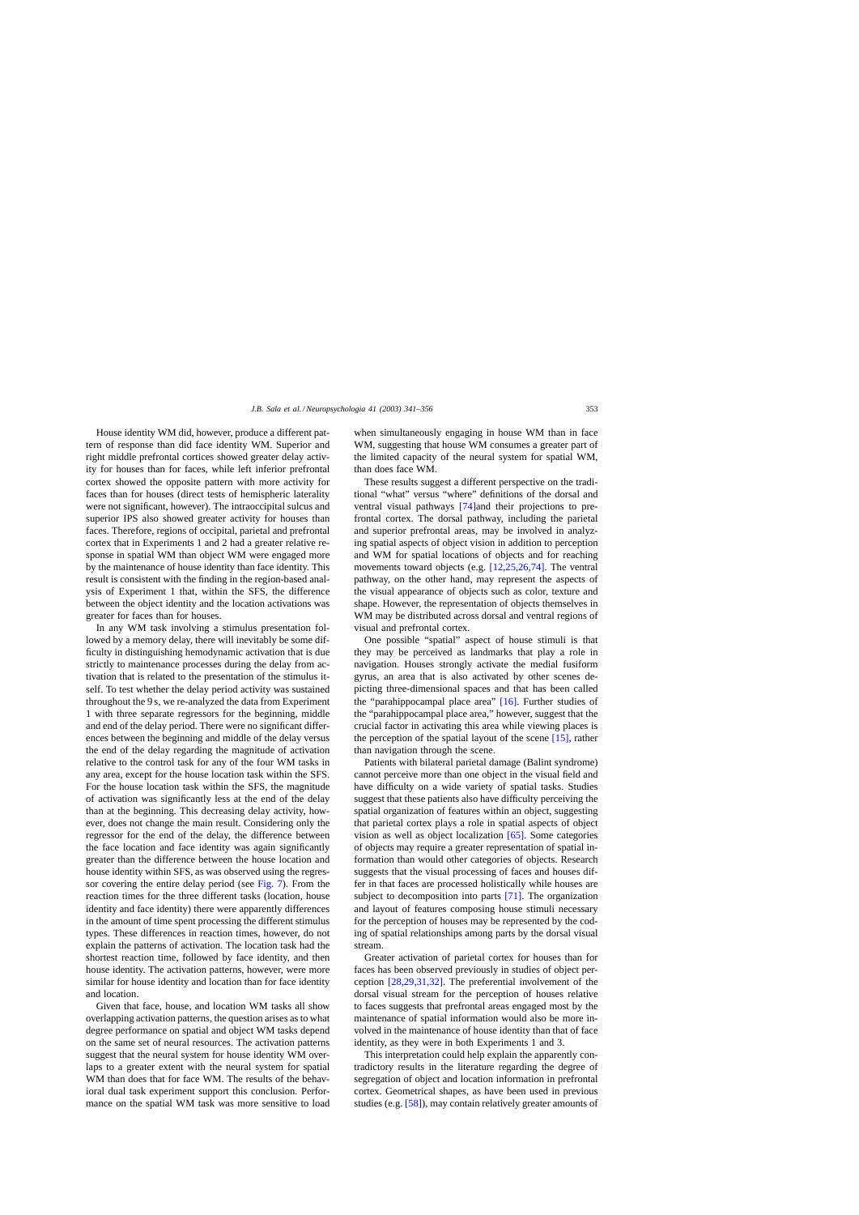House identity WM did, however, produce a different pattern of response than did face identity WM. Superior and right middle prefrontal cortices showed greater delay activity for houses than for faces, while left inferior prefrontal cortex showed the opposite pattern with more activity for faces than for houses (direct tests of hemispheric laterality were not significant, however). The intraoccipital sulcus and superior IPS also showed greater activity for houses than faces. Therefore, regions of occipital, parietal and prefrontal cortex that in Experiments 1 and 2 had a greater relative response in spatial WM than object WM were engaged more by the maintenance of house identity than face identity. This result is consistent with the finding in the region-based analysis of Experiment 1 that, within the SFS, the difference between the object identity and the location activations was greater for faces than for houses.

In any WM task involving a stimulus presentation followed by a memory delay, there will inevitably be some difficulty in distinguishing hemodynamic activation that is due strictly to maintenance processes during the delay from activation that is related to the presentation of the stimulus itself. To test whether the delay period activity was sustained throughout the 9 s, we re-analyzed the data from Experiment 1 with three separate regressors for the beginning, middle and end of the delay period. There were no significant differences between the beginning and middle of the delay versus the end of the delay regarding the magnitude of activation relative to the control task for any of the four WM tasks in any area, except for the house location task within the SFS. For the house location task within the SFS, the magnitude of activation was significantly less at the end of the delay than at the beginning. This decreasing delay activity, however, does not change the main result. Considering only the regressor for the end of the delay, the difference between the face location and face identity was again significantly greater than the difference between the house location and house identity within SFS, as was observed using the regressor covering the entire delay period (see [Fig. 7\).](#page-10-0) From the reaction times for the three different tasks (location, house identity and face identity) there were apparently differences in the amount of time spent processing the different stimulus types. These differences in reaction times, however, do not explain the patterns of activation. The location task had the shortest reaction time, followed by face identity, and then house identity. The activation patterns, however, were more similar for house identity and location than for face identity and location.

Given that face, house, and location WM tasks all show overlapping activation patterns, the question arises as to what degree performance on spatial and object WM tasks depend on the same set of neural resources. The activation patterns suggest that the neural system for house identity WM overlaps to a greater extent with the neural system for spatial WM than does that for face WM. The results of the behavioral dual task experiment support this conclusion. Performance on the spatial WM task was more sensitive to load

when simultaneously engaging in house WM than in face WM, suggesting that house WM consumes a greater part of the limited capacity of the neural system for spatial WM, than does face WM.

These results suggest a different perspective on the traditional "what" versus "where" definitions of the dorsal and ventral visual pathways [\[74\]an](#page-15-0)d their projections to prefrontal cortex. The dorsal pathway, including the parietal and superior prefrontal areas, may be involved in analyzing spatial aspects of object vision in addition to perception and WM for spatial locations of objects and for reaching movements toward objects (e.g. [\[12,25,26,74\].](#page-13-0) The ventral pathway, on the other hand, may represent the aspects of the visual appearance of objects such as color, texture and shape. However, the representation of objects themselves in WM may be distributed across dorsal and ventral regions of visual and prefrontal cortex.

One possible "spatial" aspect of house stimuli is that they may be perceived as landmarks that play a role in navigation. Houses strongly activate the medial fusiform gyrus, an area that is also activated by other scenes depicting three-dimensional spaces and that has been called the "parahippocampal place area" [\[16\].](#page-13-0) Further studies of the "parahippocampal place area," however, suggest that the crucial factor in activating this area while viewing places is the perception of the spatial layout of the scene [\[15\],](#page-13-0) rather than navigation through the scene.

Patients with bilateral parietal damage (Balint syndrome) cannot perceive more than one object in the visual field and have difficulty on a wide variety of spatial tasks. Studies suggest that these patients also have difficulty perceiving the spatial organization of features within an object, suggesting that parietal cortex plays a role in spatial aspects of object vision as well as object localization [\[65\].](#page-14-0) Some categories of objects may require a greater representation of spatial information than would other categories of objects. Research suggests that the visual processing of faces and houses differ in that faces are processed holistically while houses are subject to decomposition into parts [\[71\].](#page-14-0) The organization and layout of features composing house stimuli necessary for the perception of houses may be represented by the coding of spatial relationships among parts by the dorsal visual stream.

Greater activation of parietal cortex for houses than for faces has been observed previously in studies of object perception [\[28,29,31,32\].](#page-13-0) The preferential involvement of the dorsal visual stream for the perception of houses relative to faces suggests that prefrontal areas engaged most by the maintenance of spatial information would also be more involved in the maintenance of house identity than that of face identity, as they were in both Experiments 1 and 3.

This interpretation could help explain the apparently contradictory results in the literature regarding the degree of segregation of object and location information in prefrontal cortex. Geometrical shapes, as have been used in previous studies (e.g. [\[58\]\),](#page-14-0) may contain relatively greater amounts of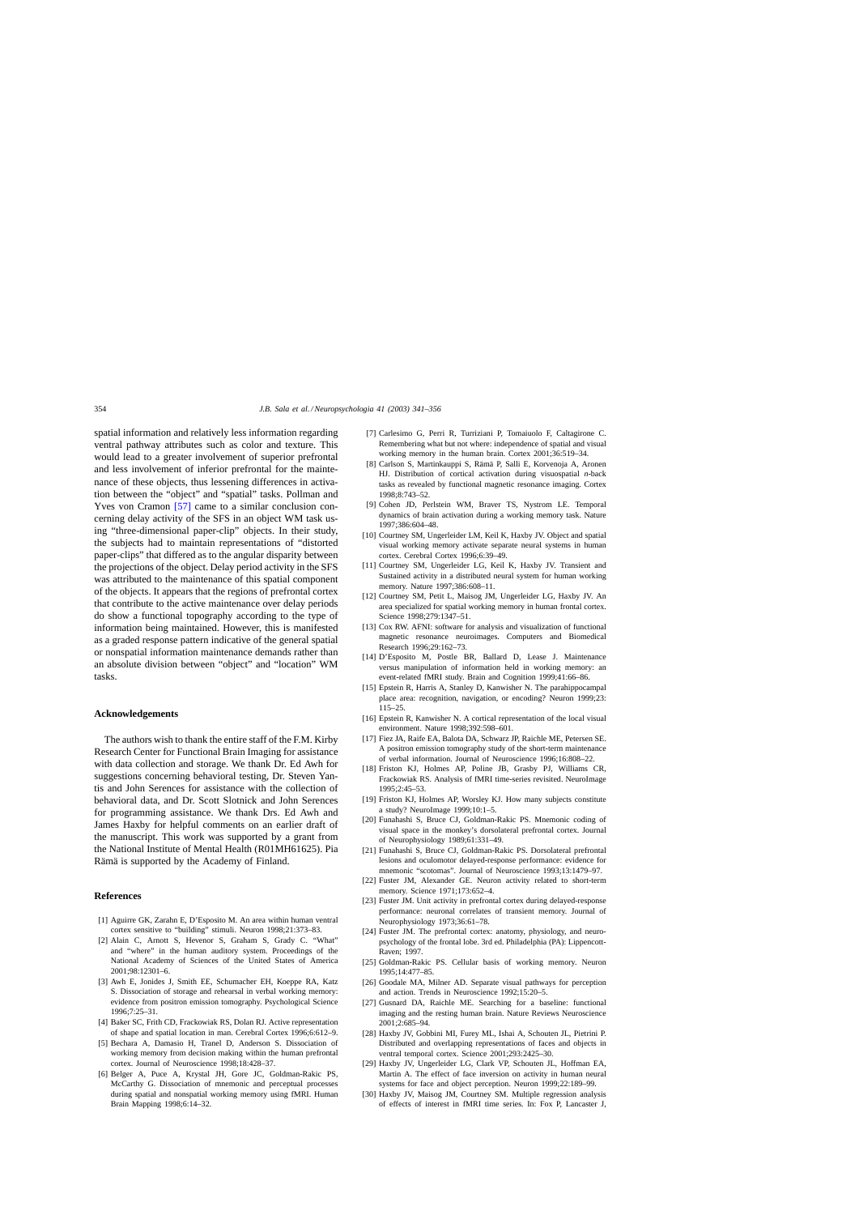<span id="page-13-0"></span>spatial information and relatively less information regarding ventral pathway attributes such as color and texture. This would lead to a greater involvement of superior prefrontal and less involvement of inferior prefrontal for the maintenance of these objects, thus lessening differences in activation between the "object" and "spatial" tasks. Pollman and Yves von Cramon [\[57\]](#page-14-0) came to a similar conclusion concerning delay activity of the SFS in an object WM task using "three-dimensional paper-clip" objects. In their study, the subjects had to maintain representations of "distorted paper-clips" that differed as to the angular disparity between the projections of the object. Delay period activity in the SFS was attributed to the maintenance of this spatial component of the objects. It appears that the regions of prefrontal cortex that contribute to the active maintenance over delay periods do show a functional topography according to the type of information being maintained. However, this is manifested as a graded response pattern indicative of the general spatial or nonspatial information maintenance demands rather than an absolute division between "object" and "location" WM tasks.

#### **Acknowledgements**

The authors wish to thank the entire staff of the F.M. Kirby Research Center for Functional Brain Imaging for assistance with data collection and storage. We thank Dr. Ed Awh for suggestions concerning behavioral testing, Dr. Steven Yantis and John Serences for assistance with the collection of behavioral data, and Dr. Scott Slotnick and John Serences for programming assistance. We thank Drs. Ed Awh and James Haxby for helpful comments on an earlier draft of the manuscript. This work was supported by a grant from the National Institute of Mental Health (R01MH61625). Pia Rämä is supported by the Academy of Finland.

#### **References**

- [1] Aguirre GK, Zarahn E, D'Esposito M. An area within human ventral cortex sensitive to "building" stimuli. Neuron 1998;21:373–83.
- [2] Alain C, Arnott S, Hevenor S, Graham S, Grady C. "What" and "where" in the human auditory system. Proceedings of the National Academy of Sciences of the United States of America 2001;98:12301–6.
- [3] Awh E, Jonides J, Smith EE, Schumacher EH, Koeppe RA, Katz S. Dissociation of storage and rehearsal in verbal working memory: evidence from positron emission tomography. Psychological Science 1996;7:25–31.
- [4] Baker SC, Frith CD, Frackowiak RS, Dolan RJ. Active representation of shape and spatial location in man. Cerebral Cortex 1996;6:612–9.
- [5] Bechara A, Damasio H, Tranel D, Anderson S. Dissociation of working memory from decision making within the human prefrontal cortex. Journal of Neuroscience 1998;18:428–37.
- [6] Belger A, Puce A, Krystal JH, Gore JC, Goldman-Rakic PS, McCarthy G. Dissociation of mnemonic and perceptual processes during spatial and nonspatial working memory using fMRI. Human Brain Mapping 1998;6:14–32.
- [7] Carlesimo G, Perri R, Turriziani P, Tomaiuolo F, Caltagirone C. Remembering what but not where: independence of spatial and visual working memory in the human brain. Cortex 2001;36:519–34.
- [8] Carlson S, Martinkauppi S, Rämä P, Salli E, Korvenoja A, Aronen HJ. Distribution of cortical activation during visuospatial *n*-back tasks as revealed by functional magnetic resonance imaging. Cortex 1998;8:743–52.
- [9] Cohen JD, Perlstein WM, Braver TS, Nystrom LE. Temporal dynamics of brain activation during a working memory task. Nature 1997;386:604–48.
- [10] Courtney SM, Ungerleider LM, Keil K, Haxby JV. Object and spatial visual working memory activate separate neural systems in human cortex. Cerebral Cortex 1996;6:39–49.
- [11] Courtney SM, Ungerleider LG, Keil K, Haxby JV. Transient and Sustained activity in a distributed neural system for human working memory. Nature 1997;386:608–11.
- [12] Courtney SM, Petit L, Maisog JM, Ungerleider LG, Haxby JV. An area specialized for spatial working memory in human frontal cortex. Science 1998;279:1347–51.
- [13] Cox RW. AFNI: software for analysis and visualization of functional magnetic resonance neuroimages. Computers and Biomedical Research 1996;29:162–73.
- [14] D'Esposito M, Postle BR, Ballard D, Lease J. Maintenance versus manipulation of information held in working memory: an event-related fMRI study. Brain and Cognition 1999;41:66–86.
- [15] Epstein R, Harris A, Stanley D, Kanwisher N. The parahippocampal place area: recognition, navigation, or encoding? Neuron 1999;23: 115–25.
- [16] Epstein R, Kanwisher N. A cortical representation of the local visual environment. Nature 1998;392:598–601.
- [17] Fiez JA, Raife EA, Balota DA, Schwarz JP, Raichle ME, Petersen SE. A positron emission tomography study of the short-term maintenance of verbal information. Journal of Neuroscience 1996;16:808–22.
- [18] Friston KJ, Holmes AP, Poline JB, Grasby PJ, Williams CR, Frackowiak RS. Analysis of fMRI time-series revisited. NeuroImage 1995;2:45–53.
- [19] Friston KJ, Holmes AP, Worsley KJ. How many subjects constitute a study? NeuroImage 1999;10:1–5.
- [20] Funahashi S, Bruce CJ, Goldman-Rakic PS. Mnemonic coding of visual space in the monkey's dorsolateral prefrontal cortex. Journal of Neurophysiology 1989;61:331–49.
- [21] Funahashi S, Bruce CJ, Goldman-Rakic PS. Dorsolateral prefrontal lesions and oculomotor delayed-response performance: evidence for mnemonic "scotomas". Journal of Neuroscience 1993;13:1479–97.
- [22] Fuster JM, Alexander GE. Neuron activity related to short-term memory. Science 1971;173:652–4.
- [23] Fuster JM. Unit activity in prefrontal cortex during delayed-response performance: neuronal correlates of transient memory. Journal of Neurophysiology 1973;36:61–78.
- [24] Fuster JM. The prefrontal cortex: anatomy, physiology, and neuropsychology of the frontal lobe. 3rd ed. Philadelphia (PA): Lippencott-Raven; 1997.
- [25] Goldman-Rakic PS. Cellular basis of working memory. Neuron 1995;14:477–85.
- [26] Goodale MA, Milner AD. Separate visual pathways for perception and action. Trends in Neuroscience 1992;15:20–5.
- [27] Gusnard DA, Raichle ME. Searching for a baseline: functional imaging and the resting human brain. Nature Reviews Neuroscience 2001;2:685–94.
- [28] Haxby JV, Gobbini MI, Furey ML, Ishai A, Schouten JL, Pietrini P. Distributed and overlapping representations of faces and objects in ventral temporal cortex. Science 2001;293:2425–30.
- [29] Haxby JV, Ungerleider LG, Clark VP, Schouten JL, Hoffman EA, Martin A. The effect of face inversion on activity in human neural systems for face and object perception. Neuron 1999;22:189–99.
- [30] Haxby JV, Maisog JM, Courtney SM. Multiple regression analysis of effects of interest in fMRI time series. In: Fox P, Lancaster J,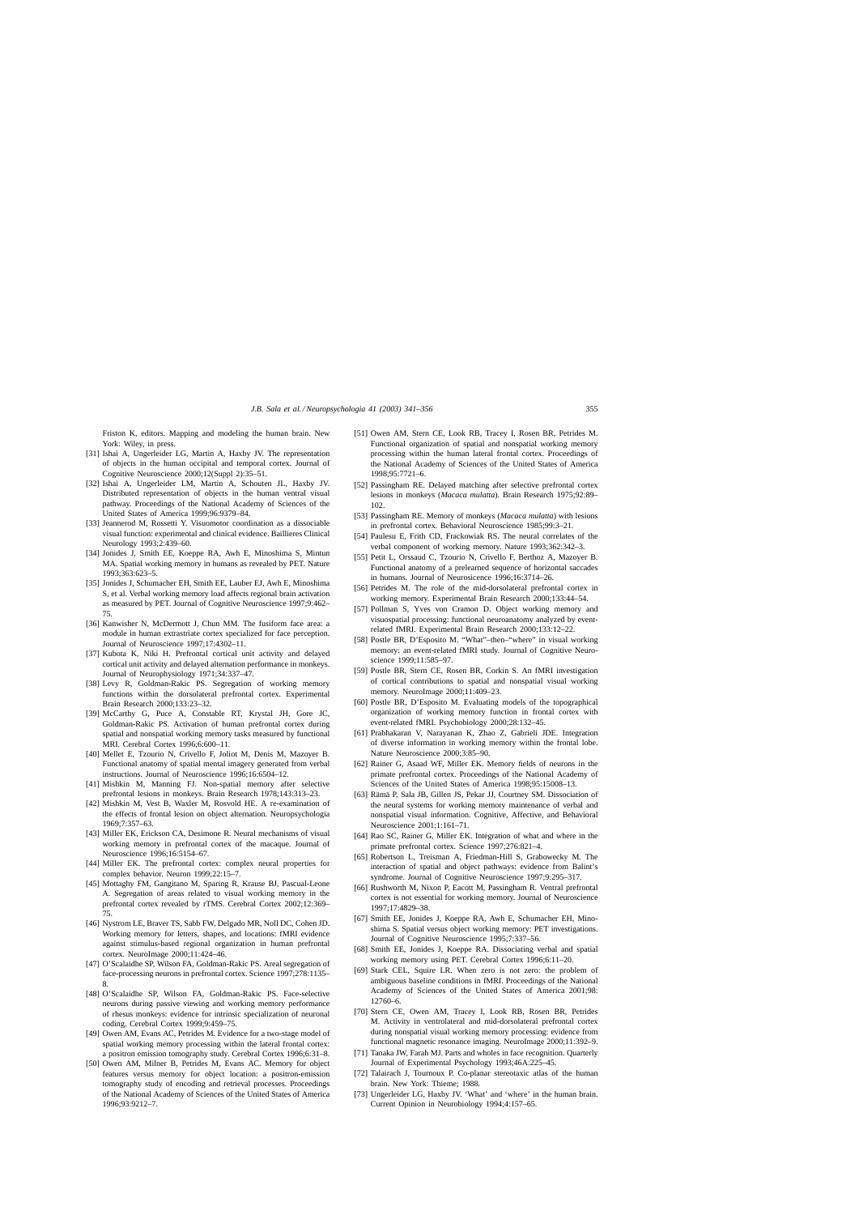<span id="page-14-0"></span>Friston K, editors. Mapping and modeling the human brain. New York: Wiley, in press.

- [31] Ishai A, Ungerleider LG, Martin A, Haxby JV. The representation of objects in the human occipital and temporal cortex. Journal of Cognitive Neuroscience 2000;12(Suppl 2):35–51.
- [32] Ishai A, Ungerleider LM, Martin A, Schouten JL, Haxby JV. Distributed representation of objects in the human ventral visual pathway. Proceedings of the National Academy of Sciences of the United States of America 1999;96:9379–84.
- [33] Jeannerod M, Rossetti Y. Visuomotor coordination as a dissociable visual function: experimental and clinical evidence. Baillieres Clinical Neurology 1993;2:439–60.
- [34] Jonides J, Smith EE, Koeppe RA, Awh E, Minoshima S, Mintun MA. Spatial working memory in humans as revealed by PET. Nature 1993;363:623–5.
- [35] Jonides J, Schumacher EH, Smith EE, Lauber EJ, Awh E, Minoshima S, et al. Verbal working memory load affects regional brain activation as measured by PET. Journal of Cognitive Neuroscience 1997;9:462– 75.
- [36] Kanwisher N, McDermott J, Chun MM. The fusiform face area: a module in human extrastriate cortex specialized for face perception. Journal of Neuroscience 1997;17:4302–11.
- [37] Kubota K, Niki H. Prefrontal cortical unit activity and delayed cortical unit activity and delayed alternation performance in monkeys. Journal of Neurophysiology 1971;34:337–47.
- [38] Levy R, Goldman-Rakic PS. Segregation of working memory functions within the dorsolateral prefrontal cortex. Experimental Brain Research 2000;133:23–32.
- [39] McCarthy G, Puce A, Constable RT, Krystal JH, Gore JC, Goldman-Rakic PS. Activation of human prefrontal cortex during spatial and nonspatial working memory tasks measured by functional MRI. Cerebral Cortex 1996;6:600–11.
- [40] Mellet E, Tzourio N, Crivello F, Joliot M, Denis M, Mazoyer B. Functional anatomy of spatial mental imagery generated from verbal instructions. Journal of Neuroscience 1996;16:6504–12.
- [41] Mishkin M, Manning FJ. Non-spatial memory after selective prefrontal lesions in monkeys. Brain Research 1978;143:313–23.
- [42] Mishkin M, Vest B, Waxler M, Rosvold HE. A re-examination of the effects of frontal lesion on object alternation. Neuropsychologia 1969;7:357–63.
- [43] Miller EK, Erickson CA, Desimone R. Neural mechanisms of visual working memory in prefrontal cortex of the macaque. Journal of Neuroscience 1996;16:5154–67.
- [44] Miller EK. The prefrontal cortex: complex neural properties for complex behavior. Neuron 1999;22:15–7.
- [45] Mottaghy FM, Gangitano M, Sparing R, Krause BJ, Pascual-Leone A. Segregation of areas related to visual working memory in the prefrontal cortex revealed by rTMS. Cerebral Cortex 2002;12:369– 75.
- [46] Nystrom LE, Braver TS, Sabb FW, Delgado MR, Noll DC, Cohen JD. Working memory for letters, shapes, and locations: fMRI evidence against stimulus-based regional organization in human prefrontal cortex. NeuroImage 2000;11:424–46.
- [47] O'Scalaidhe SP, Wilson FA, Goldman-Rakic PS. Areal segregation of face-processing neurons in prefrontal cortex. Science 1997;278:1135– 8.
- [48] O'Scalaidhe SP, Wilson FA, Goldman-Rakic PS. Face-selective neurons during passive viewing and working memory performance of rhesus monkeys: evidence for intrinsic specialization of neuronal coding. Cerebral Cortex 1999;9:459–75.
- [49] Owen AM, Evans AC, Petrides M. Evidence for a two-stage model of spatial working memory processing within the lateral frontal cortex: a positron emission tomography study. Cerebral Cortex 1996;6:31–8.
- [50] Owen AM, Milner B, Petrides M, Evans AC. Memory for object features versus memory for object location: a positron-emission tomography study of encoding and retrieval processes. Proceedings of the National Academy of Sciences of the United States of America 1996;93:9212–7.
- [51] Owen AM, Stern CE, Look RB, Tracey I, Rosen BR, Petrides M. Functional organization of spatial and nonspatial working memory processing within the human lateral frontal cortex. Proceedings of the National Academy of Sciences of the United States of America 1998;95:7721–6.
- [52] Passingham RE. Delayed matching after selective prefrontal cortex lesions in monkeys (*Macaca mulatta*). Brain Research 1975;92:89– 102.
- [53] Passingham RE. Memory of monkeys (*Macaca mulatta*) with lesions in prefrontal cortex. Behavioral Neuroscience 1985;99:3–21.
- [54] Paulesu E, Frith CD, Frackowiak RS. The neural correlates of the verbal component of working memory. Nature 1993;362:342–3.
- [55] Petit L, Orssaud C, Tzourio N, Crivello F, Berthoz A, Mazoyer B. Functional anatomy of a prelearned sequence of horizontal saccades in humans. Journal of Neurosicence 1996;16:3714–26.
- [56] Petrides M. The role of the mid-dorsolateral prefrontal cortex in working memory. Experimental Brain Research 2000;133:44–54.
- [57] Pollman S, Yves von Cramon D. Object working memory and visuospatial processing: functional neuroanatomy analyzed by eventrelated fMRI. Experimental Brain Research 2000;133:12–22.
- [58] Postle BR, D'Esposito M. "What"–then–"where" in visual working memory: an event-related fMRI study. Journal of Cognitive Neuroscience 1999;11:585–97.
- [59] Postle BR, Stern CE, Rosen BR, Corkin S. An fMRI investigation of cortical contributions to spatial and nonspatial visual working memory. NeuroImage 2000;11:409–23.
- [60] Postle BR, D'Esposito M. Evaluating models of the topographical organization of working memory function in frontal cortex with event-related fMRI. Psychobiology 2000;28:132–45.
- [61] Prabhakaran V, Narayanan K, Zhao Z, Gabrieli JDE. Integration of diverse information in working memory within the frontal lobe. Nature Neuroscience 2000;3:85–90.
- [62] Rainer G, Asaad WF, Miller EK. Memory fields of neurons in the primate prefrontal cortex. Proceedings of the National Academy of Sciences of the United States of America 1998;95:15008–13.
- [63] Rämä P, Sala JB, Gillen JS, Pekar JJ, Courtney SM. Dissociation of the neural systems for working memory maintenance of verbal and nonspatial visual information. Cognitive, Affective, and Behavioral Neuroscience 2001;1:161–71.
- [64] Rao SC, Rainer G, Miller EK. Integration of what and where in the primate prefrontal cortex. Science 1997;276:821–4.
- [65] Robertson L, Treisman A, Friedman-Hill S, Grabowecky M. The interaction of spatial and object pathways: evidence from Balint's syndrome. Journal of Cognitive Neuroscience 1997;9:295–317.
- [66] Rushworth M, Nixon P, Eacott M, Passingham R. Ventral prefrontal cortex is not essential for working memory. Journal of Neuroscience 1997;17:4829–38.
- [67] Smith EE, Jonides J, Koeppe RA, Awh E, Schumacher EH, Minoshima S. Spatial versus object working memory: PET investigations. Journal of Cognitive Neuroscience 1995;7:337–56.
- [68] Smith EE, Jonides J, Koeppe RA. Dissociating verbal and spatial working memory using PET. Cerebral Cortex 1996;6:11–20.
- [69] Stark CEL, Squire LR. When zero is not zero: the problem of ambiguous baseline conditions in fMRI. Proceedings of the National Academy of Sciences of the United States of America 2001;98: 12760–6.
- [70] Stern CE, Owen AM, Tracey I, Look RB, Rosen BR, Petrides M. Activity in ventrolateral and mid-dorsolateral prefrontal cortex during nonspatial visual working memory processing: evidence from functional magnetic resonance imaging. NeuroImage 2000;11:392–9.
- [71] Tanaka JW, Farah MJ. Parts and wholes in face recognition. Quarterly Journal of Experimental Psychology 1993;46A:225–45.
- [72] Talairach J, Tournoux P. Co-planar stereotaxic atlas of the human brain. New York: Thieme; 1988.
- [73] Ungerleider LG, Haxby JV. 'What' and 'where' in the human brain. Current Opinion in Neurobiology 1994;4:157–65.